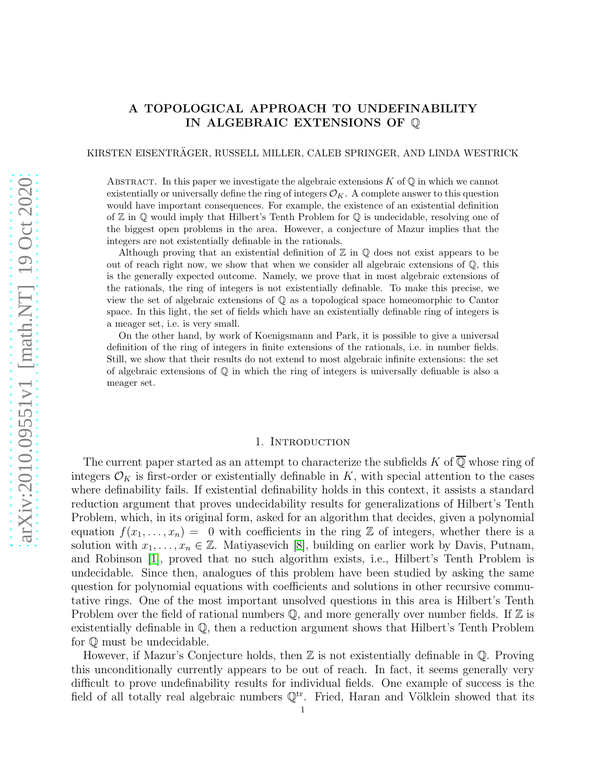# A TOPOLOGICAL APPROACH TO UNDEFINABILITY IN ALGEBRAIC EXTENSIONS OF Q

## KIRSTEN EISENTRAGER, RUSSELL MILLER, CALEB SPRINGER, AND LINDA WESTRICK ¨

ABSTRACT. In this paper we investigate the algebraic extensions  $K$  of  $\mathbb Q$  in which we cannot existentially or universally define the ring of integers  $\mathcal{O}_K$ . A complete answer to this question would have important consequences. For example, the existence of an existential definition of  $\mathbb Z$  in  $\mathbb Q$  would imply that Hilbert's Tenth Problem for  $\mathbb Q$  is undecidable, resolving one of the biggest open problems in the area. However, a conjecture of Mazur implies that the integers are not existentially definable in the rationals.

Although proving that an existential definition of  $\mathbb Z$  in  $\mathbb Q$  does not exist appears to be out of reach right now, we show that when we consider all algebraic extensions of Q, this is the generally expected outcome. Namely, we prove that in most algebraic extensions of the rationals, the ring of integers is not existentially definable. To make this precise, we view the set of algebraic extensions of Q as a topological space homeomorphic to Cantor space. In this light, the set of fields which have an existentially definable ring of integers is a meager set, i.e. is very small.

On the other hand, by work of Koenigsmann and Park, it is possible to give a universal definition of the ring of integers in finite extensions of the rationals, i.e. in number fields. Still, we show that their results do not extend to most algebraic infinite extensions: the set of algebraic extensions of Q in which the ring of integers is universally definable is also a meager set.

#### 1. INTRODUCTION

The current paper started as an attempt to characterize the subfields K of  $\overline{\mathbb{Q}}$  whose ring of integers  $\mathcal{O}_K$  is first-order or existentially definable in K, with special attention to the cases where definability fails. If existential definability holds in this context, it assists a standard reduction argument that proves undecidability results for generalizations of Hilbert's Tenth Problem, which, in its original form, asked for an algorithm that decides, given a polynomial equation  $f(x_1, \ldots, x_n) = 0$  with coefficients in the ring Z of integers, whether there is a solution with  $x_1, \ldots, x_n \in \mathbb{Z}$ . Matiyasevich [\[8\]](#page-20-0), building on earlier work by Davis, Putnam, and Robinson [\[1\]](#page-20-1), proved that no such algorithm exists, i.e., Hilbert's Tenth Problem is undecidable. Since then, analogues of this problem have been studied by asking the same question for polynomial equations with coefficients and solutions in other recursive commutative rings. One of the most important unsolved questions in this area is Hilbert's Tenth Problem over the field of rational numbers  $\mathbb{Q}$ , and more generally over number fields. If  $\mathbb{Z}$  is existentially definable in  $\mathbb{Q}$ , then a reduction argument shows that Hilbert's Tenth Problem for Q must be undecidable.

However, if Mazur's Conjecture holds, then  $\mathbb Z$  is not existentially definable in  $\mathbb Q$ . Proving this unconditionally currently appears to be out of reach. In fact, it seems generally very difficult to prove undefinability results for individual fields. One example of success is the field of all totally real algebraic numbers  $\mathbb{Q}^{tr}$ . Fried, Haran and Völklein showed that its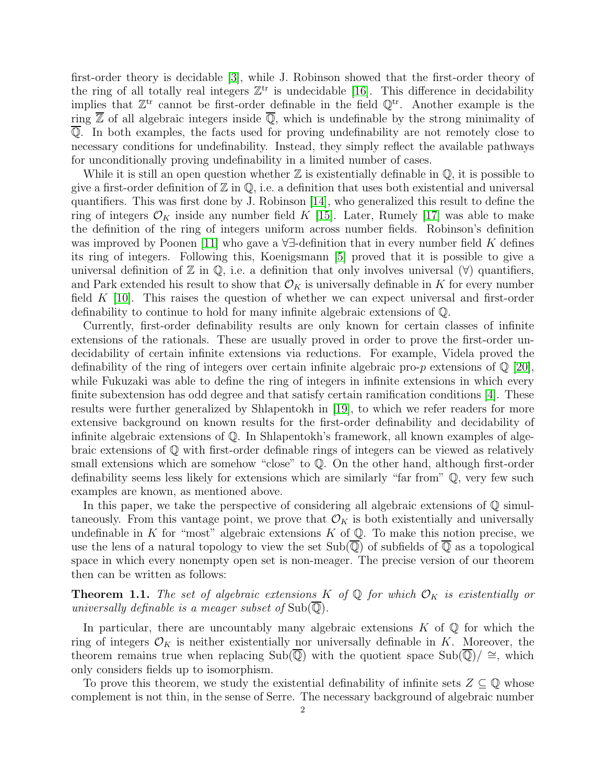first-order theory is decidable [\[3\]](#page-20-2), while J. Robinson showed that the first-order theory of the ring of all totally real integers  $\mathbb{Z}^{tr}$  is undecidable [\[16\]](#page-21-0). This difference in decidability implies that  $\mathbb{Z}^{tr}$  cannot be first-order definable in the field  $\mathbb{Q}^{tr}$ . Another example is the ring  $\overline{Z}$  of all algebraic integers inside  $\overline{Q}$ , which is undefinable by the strong minimality of Q. In both examples, the facts used for proving undefinability are not remotely close to necessary conditions for undefinability. Instead, they simply reflect the available pathways for unconditionally proving undefinability in a limited number of cases.

While it is still an open question whether  $\mathbb Z$  is existentially definable in  $\mathbb Q$ , it is possible to give a first-order definition of  $\mathbb Z$  in  $\mathbb Q$ , i.e. a definition that uses both existential and universal quantifiers. This was first done by J. Robinson [\[14\]](#page-21-1), who generalized this result to define the ring of integers  $\mathcal{O}_K$  inside any number field K [\[15\]](#page-21-2). Later, Rumely [\[17\]](#page-21-3) was able to make the definition of the ring of integers uniform across number fields. Robinson's definition was improved by Poonen [\[11\]](#page-20-3) who gave a  $\forall \exists$ -definition that in every number field K defines its ring of integers. Following this, Koenigsmann [\[5\]](#page-20-4) proved that it is possible to give a universal definition of  $\mathbb Z$  in  $\mathbb Q$ , i.e. a definition that only involves universal  $(\forall)$  quantifiers, and Park extended his result to show that  $\mathcal{O}_K$  is universally definable in K for every number field  $K$  [\[10\]](#page-20-5). This raises the question of whether we can expect universal and first-order definability to continue to hold for many infinite algebraic extensions of Q.

Currently, first-order definability results are only known for certain classes of infinite extensions of the rationals. These are usually proved in order to prove the first-order undecidability of certain infinite extensions via reductions. For example, Videla proved the definability of the ring of integers over certain infinite algebraic pro-p extensions of  $\mathbb{Q}$  [\[20\]](#page-21-4), while Fukuzaki was able to define the ring of integers in infinite extensions in which every finite subextension has odd degree and that satisfy certain ramification conditions [\[4\]](#page-20-6). These results were further generalized by Shlapentokh in [\[19\]](#page-21-5), to which we refer readers for more extensive background on known results for the first-order definability and decidability of infinite algebraic extensions of Q. In Shlapentokh's framework, all known examples of algebraic extensions of Q with first-order definable rings of integers can be viewed as relatively small extensions which are somehow "close" to  $\mathbb Q$ . On the other hand, although first-order definability seems less likely for extensions which are similarly "far from" Q, very few such examples are known, as mentioned above.

In this paper, we take the perspective of considering all algebraic extensions of  $\mathbb Q$  simultaneously. From this vantage point, we prove that  $\mathcal{O}_K$  is both existentially and universally undefinable in K for "most" algebraic extensions  $K$  of  $\mathbb Q$ . To make this notion precise, we use the lens of a natural topology to view the set  $\text{Sub}(\mathbb{Q})$  of subfields of  $\mathbb Q$  as a topological space in which every nonempty open set is non-meager. The precise version of our theorem then can be written as follows:

**Theorem 1.1.** The set of algebraic extensions K of  $\mathbb{Q}$  for which  $\mathcal{O}_K$  is existentially or universally definable is a meager subset of  $\text{Sub}(\mathbb{Q})$ .

In particular, there are uncountably many algebraic extensions  $K$  of  $\mathbb Q$  for which the ring of integers  $\mathcal{O}_K$  is neither existentially nor universally definable in K. Moreover, the theorem remains true when replacing Sub( $\mathbb{Q}$ ) with the quotient space Sub( $\mathbb{Q}$ )/ ≅, which only considers fields up to isomorphism.

To prove this theorem, we study the existential definability of infinite sets  $Z \subseteq \mathbb{Q}$  whose complement is not thin, in the sense of Serre. The necessary background of algebraic number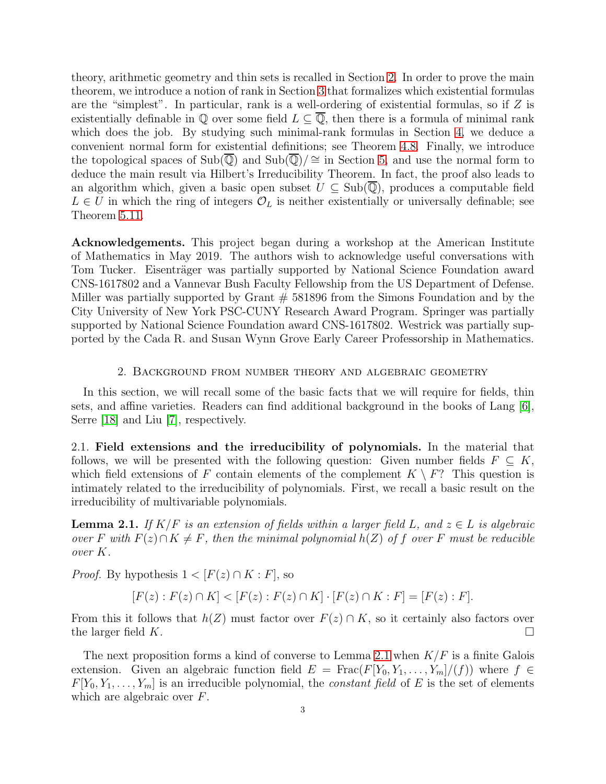theory, arithmetic geometry and thin sets is recalled in Section [2.](#page-2-0) In order to prove the main theorem, we introduce a notion of rank in Section [3](#page-7-0) that formalizes which existential formulas are the "simplest". In particular, rank is a well-ordering of existential formulas, so if  $Z$  is existentially definable in  $\mathbb Q$  over some field  $L \subseteq \overline{\mathbb Q}$ , then there is a formula of minimal rank which does the job. By studying such minimal-rank formulas in Section [4,](#page-10-0) we deduce a convenient normal form for existential definitions; see Theorem [4.8.](#page-15-0) Finally, we introduce the topological spaces of  $Sub(\overline{\mathbb{Q}})$  and  $Sub(\overline{\mathbb{Q}})/\cong$  in Section [5,](#page-15-1) and use the normal form to deduce the main result via Hilbert's Irreducibility Theorem. In fact, the proof also leads to an algorithm which, given a basic open subset  $U \subseteq Sub(\mathbb{Q})$ , produces a computable field  $L \in U$  in which the ring of integers  $\mathcal{O}_L$  is neither existentially or universally definable; see Theorem [5.11.](#page-18-0)

Acknowledgements. This project began during a workshop at the American Institute of Mathematics in May 2019. The authors wish to acknowledge useful conversations with Tom Tucker. Eisenträger was partially supported by National Science Foundation award CNS-1617802 and a Vannevar Bush Faculty Fellowship from the US Department of Defense. Miller was partially supported by Grant  $# 581896$  from the Simons Foundation and by the City University of New York PSC-CUNY Research Award Program. Springer was partially supported by National Science Foundation award CNS-1617802. Westrick was partially supported by the Cada R. and Susan Wynn Grove Early Career Professorship in Mathematics.

### 2. Background from number theory and algebraic geometry

<span id="page-2-0"></span>In this section, we will recall some of the basic facts that we will require for fields, thin sets, and affine varieties. Readers can find additional background in the books of Lang [\[6\]](#page-20-7), Serre [\[18\]](#page-21-6) and Liu [\[7\]](#page-20-8), respectively.

2.1. Field extensions and the irreducibility of polynomials. In the material that follows, we will be presented with the following question: Given number fields  $F \subseteq K$ , which field extensions of F contain elements of the complement  $K \setminus F$ ? This question is intimately related to the irreducibility of polynomials. First, we recall a basic result on the irreducibility of multivariable polynomials.

<span id="page-2-1"></span>**Lemma 2.1.** If  $K/F$  is an extension of fields within a larger field L, and  $z \in L$  is algebraic over F with  $F(z) \cap K \neq F$ , then the minimal polynomial  $h(Z)$  of f over F must be reducible over K.

*Proof.* By hypothesis  $1 < [F(z) \cap K : F]$ , so

$$
[F(z) : F(z) \cap K] < [F(z) : F(z) \cap K] \cdot [F(z) \cap K : F] = [F(z) : F].
$$

From this it follows that  $h(Z)$  must factor over  $F(z) \cap K$ , so it certainly also factors over the larger field K.

The next proposition forms a kind of converse to Lemma [2.1](#page-2-1) when  $K/F$  is a finite Galois extension. Given an algebraic function field  $E = \text{Frac}(F[Y_0, Y_1, \ldots, Y_m]/(f))$  where  $f \in$  $F[Y_0, Y_1, \ldots, Y_m]$  is an irreducible polynomial, the *constant field* of E is the set of elements which are algebraic over F.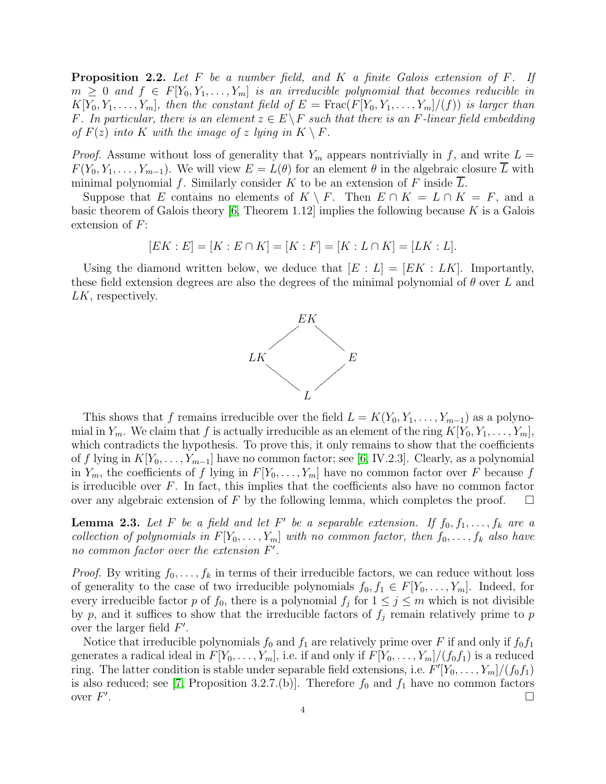<span id="page-3-0"></span>**Proposition 2.2.** Let  $F$  be a number field, and  $K$  a finite Galois extension of  $F$ . If  $m \geq 0$  and  $f \in F[Y_0, Y_1, \ldots, Y_m]$  is an irreducible polynomial that becomes reducible in  $K[Y_0, Y_1, \ldots, Y_m]$ , then the constant field of  $E = \text{Frac}(F[Y_0, Y_1, \ldots, Y_m]/(f))$  is larger than F. In particular, there is an element  $z \in E \backslash F$  such that there is an F-linear field embedding of  $F(z)$  into K with the image of z lying in  $K \setminus F$ .

*Proof.* Assume without loss of generality that  $Y_m$  appears nontrivially in f, and write  $L =$  $F(Y_0, Y_1, \ldots, Y_{m-1})$ . We will view  $E = L(\theta)$  for an element  $\theta$  in the algebraic closure L with minimal polynomial  $f$ . Similarly consider  $K$  to be an extension of  $F$  inside  $L$ .

Suppose that E contains no elements of  $K \setminus F$ . Then  $E \cap K = L \cap K = F$ , and a basic theorem of Galois theory [\[6,](#page-20-7) Theorem 1.12] implies the following because  $K$  is a Galois extension of  $F$ :

$$
[EK : E] = [K : E \cap K] = [K : F] = [K : L \cap K] = [LK : L].
$$

Using the diamond written below, we deduce that  $[E : L] = [EK : LK]$ . Importantly, these field extension degrees are also the degrees of the minimal polynomial of  $\theta$  over L and LK, respectively.



This shows that f remains irreducible over the field  $L = K(Y_0, Y_1, \ldots, Y_{m-1})$  as a polynomial in  $Y_m$ . We claim that f is actually irreducible as an element of the ring  $K[Y_0, Y_1, \ldots, Y_m]$ , which contradicts the hypothesis. To prove this, it only remains to show that the coefficients of f lying in  $K[Y_0, \ldots, Y_{m-1}]$  have no common factor; see [\[6,](#page-20-7) IV.2.3]. Clearly, as a polynomial in  $Y_m$ , the coefficients of f lying in  $F[Y_0, \ldots, Y_m]$  have no common factor over F because f is irreducible over  $F$ . In fact, this implies that the coefficients also have no common factor over any algebraic extension of F by the following lemma, which completes the proof.  $\square$ 

**Lemma 2.3.** Let F be a field and let F' be a separable extension. If  $f_0, f_1, \ldots, f_k$  are a collection of polynomials in  $F[Y_0, \ldots, Y_m]$  with no common factor, then  $f_0, \ldots, f_k$  also have no common factor over the extension F'.

*Proof.* By writing  $f_0, \ldots, f_k$  in terms of their irreducible factors, we can reduce without loss of generality to the case of two irreducible polynomials  $f_0, f_1 \in F[Y_0, \ldots, Y_m]$ . Indeed, for every irreducible factor p of  $f_0$ , there is a polynomial  $f_j$  for  $1 \leq j \leq m$  which is not divisible by p, and it suffices to show that the irreducible factors of  $f_i$  remain relatively prime to p over the larger field  $F'$ .

Notice that irreducible polynomials  $f_0$  and  $f_1$  are relatively prime over F if and only if  $f_0f_1$ generates a radical ideal in  $F[Y_0, \ldots, Y_m]$ , i.e. if and only if  $F[Y_0, \ldots, Y_m]/(f_0f_1)$  is a reduced ring. The latter condition is stable under separable field extensions, i.e.  $F'[Y_0, \ldots, Y_m]/(f_0f_1)$ is also reduced; see [\[7,](#page-20-8) Proposition 3.2.7.(b)]. Therefore  $f_0$  and  $f_1$  have no common factors over  $F'$ .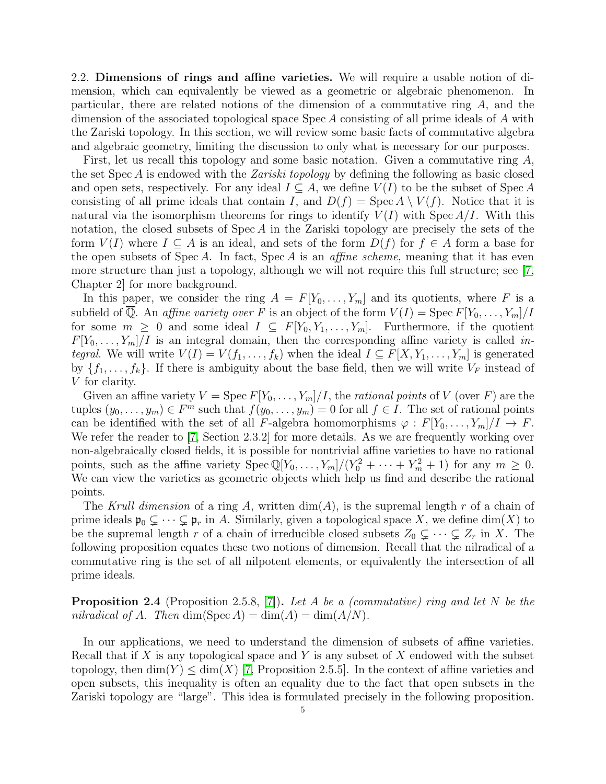<span id="page-4-0"></span>2.2. Dimensions of rings and affine varieties. We will require a usable notion of dimension, which can equivalently be viewed as a geometric or algebraic phenomenon. In particular, there are related notions of the dimension of a commutative ring A, and the dimension of the associated topological space Spec A consisting of all prime ideals of A with the Zariski topology. In this section, we will review some basic facts of commutative algebra and algebraic geometry, limiting the discussion to only what is necessary for our purposes.

First, let us recall this topology and some basic notation. Given a commutative ring A, the set Spec A is endowed with the Zariski topology by defining the following as basic closed and open sets, respectively. For any ideal  $I \subseteq A$ , we define  $V(I)$  to be the subset of Spec A consisting of all prime ideals that contain I, and  $D(f) = \text{Spec } A \setminus V(f)$ . Notice that it is natural via the isomorphism theorems for rings to identify  $V(I)$  with Spec  $A/I$ . With this notation, the closed subsets of  $Spec A$  in the Zariski topology are precisely the sets of the form  $V(I)$  where  $I \subseteq A$  is an ideal, and sets of the form  $D(f)$  for  $f \in A$  form a base for the open subsets of Spec A. In fact, Spec A is an *affine scheme*, meaning that it has even more structure than just a topology, although we will not require this full structure; see [\[7,](#page-20-8) Chapter 2] for more background.

In this paper, we consider the ring  $A = F[Y_0, \ldots, Y_m]$  and its quotients, where F is a subfield of  $\overline{Q}$ . An affine variety over F is an object of the form  $V(I) = \text{Spec } F[Y_0, \ldots, Y_m]/I$ for some  $m \geq 0$  and some ideal  $I \subseteq F[Y_0, Y_1, \ldots, Y_m]$ . Furthermore, if the quotient  $F[Y_0, \ldots, Y_m]/I$  is an integral domain, then the corresponding affine variety is called in*tegral.* We will write  $V(I) = V(f_1, \ldots, f_k)$  when the ideal  $I \subseteq F[X, Y_1, \ldots, Y_m]$  is generated by  $\{f_1, \ldots, f_k\}$ . If there is ambiguity about the base field, then we will write  $V_F$  instead of V for clarity.

Given an affine variety  $V = \text{Spec } F[Y_0, \ldots, Y_m]/I$ , the *rational points* of V (over F) are the tuples  $(y_0, \ldots, y_m) \in F^m$  such that  $f(y_0, \ldots, y_m) = 0$  for all  $f \in I$ . The set of rational points can be identified with the set of all F-algebra homomorphisms  $\varphi : F[Y_0, \ldots, Y_m]/I \to F$ . We refer the reader to [\[7,](#page-20-8) Section 2.3.2] for more details. As we are frequently working over non-algebraically closed fields, it is possible for nontrivial affine varieties to have no rational points, such as the affine variety  $Spec \mathbb{Q}[Y_0, \ldots, Y_m]/(Y_0^2 + \cdots + Y_m^2 + 1)$  for any  $m \geq 0$ . We can view the varieties as geometric objects which help us find and describe the rational points.

The Krull dimension of a ring A, written  $\dim(A)$ , is the supremal length r of a chain of prime ideals  $\mathfrak{p}_0 \subsetneq \cdots \subsetneq \mathfrak{p}_r$  in A. Similarly, given a topological space X, we define dim(X) to be the supremal length r of a chain of irreducible closed subsets  $Z_0 \subsetneq \cdots \subsetneq Z_r$  in X. The following proposition equates these two notions of dimension. Recall that the nilradical of a commutative ring is the set of all nilpotent elements, or equivalently the intersection of all prime ideals.

**Proposition 2.4** (Proposition 2.5.8, [\[7\]](#page-20-8)). Let A be a (commutative) ring and let N be the nilradical of A. Then  $\dim(\text{Spec } A) = \dim(A) = \dim(A/N)$ .

In our applications, we need to understand the dimension of subsets of affine varieties. Recall that if X is any topological space and Y is any subset of X endowed with the subset topology, then  $\dim(Y) \leq \dim(X)$  [\[7,](#page-20-8) Proposition 2.5.5]. In the context of affine varieties and open subsets, this inequality is often an equality due to the fact that open subsets in the Zariski topology are "large". This idea is formulated precisely in the following proposition.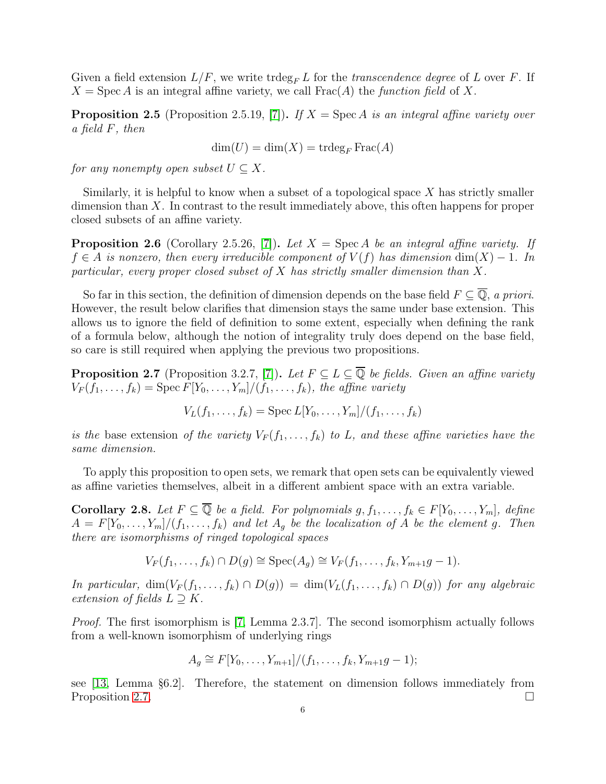Given a field extension  $L/F$ , we write trdeg<sub>F</sub> L for the transcendence degree of L over F. If  $X = \text{Spec } A$  is an integral affine variety, we call  $\text{Frac}(A)$  the function field of X.

<span id="page-5-2"></span>**Proposition 2.5** (Proposition 2.5.19, [\[7\]](#page-20-8)). If  $X = \text{Spec } A$  is an integral affine variety over a field F, then

$$
\dim(U) = \dim(X) = \operatorname{trdeg}_F \operatorname{Frac}(A)
$$

for any nonempty open subset  $U \subset X$ .

Similarly, it is helpful to know when a subset of a topological space  $X$  has strictly smaller dimension than X. In contrast to the result immediately above, this often happens for proper closed subsets of an affine variety.

<span id="page-5-3"></span>**Proposition 2.6** (Corollary 2.5.26, [\[7\]](#page-20-8)). Let  $X = \text{Spec } A$  be an integral affine variety. If  $f \in A$  is nonzero, then every irreducible component of  $V(f)$  has dimension  $\dim(X) - 1$ . In particular, every proper closed subset of  $X$  has strictly smaller dimension than  $X$ .

So far in this section, the definition of dimension depends on the base field  $F \subseteq \overline{Q}$ , a priori. However, the result below clarifies that dimension stays the same under base extension. This allows us to ignore the field of definition to some extent, especially when defining the rank of a formula below, although the notion of integrality truly does depend on the base field, so care is still required when applying the previous two propositions.

<span id="page-5-0"></span>**Proposition 2.7** (Proposition 3.2.7, [\[7\]](#page-20-8)). Let  $F \subseteq L \subseteq \overline{\mathbb{Q}}$  be fields. Given an affine variety  $V_F(f_1,\ldots,f_k)=\operatorname{Spec} F[Y_0,\ldots,Y_m]/(f_1,\ldots,f_k)$ , the affine variety

 $V_L(f_1, \ldots, f_k) = \text{Spec } L[Y_0, \ldots, Y_m]/(f_1, \ldots, f_k)$ 

is the base extension of the variety  $V_F(f_1,\ldots,f_k)$  to L, and these affine varieties have the same dimension.

To apply this proposition to open sets, we remark that open sets can be equivalently viewed as affine varieties themselves, albeit in a different ambient space with an extra variable.

<span id="page-5-1"></span>**Corollary 2.8.** Let  $F \subseteq \overline{\mathbb{Q}}$  be a field. For polynomials  $g, f_1, \ldots, f_k \in F[Y_0, \ldots, Y_m]$ , define  $A = F[Y_0, \ldots, Y_m]/(f_1, \ldots, f_k)$  and let  $A_q$  be the localization of A be the element g. Then there are isomorphisms of ringed topological spaces

$$
V_F(f_1,\ldots,f_k)\cap D(g)\cong \operatorname{Spec}(A_g)\cong V_F(f_1,\ldots,f_k,Y_{m+1}g-1).
$$

In particular,  $\dim(V_F(f_1,\ldots,f_k)\cap D(g)) = \dim(V_L(f_1,\ldots,f_k)\cap D(g))$  for any algebraic extension of fields  $L \supseteq K$ .

Proof. The first isomorphism is [\[7,](#page-20-8) Lemma 2.3.7]. The second isomorphism actually follows from a well-known isomorphism of underlying rings

$$
A_g \cong F[Y_0, \ldots, Y_{m+1}]/(f_1, \ldots, f_k, Y_{m+1}g - 1);
$$

see [\[13,](#page-20-9) Lemma §6.2]. Therefore, the statement on dimension follows immediately from Proposition [2.7.](#page-5-0)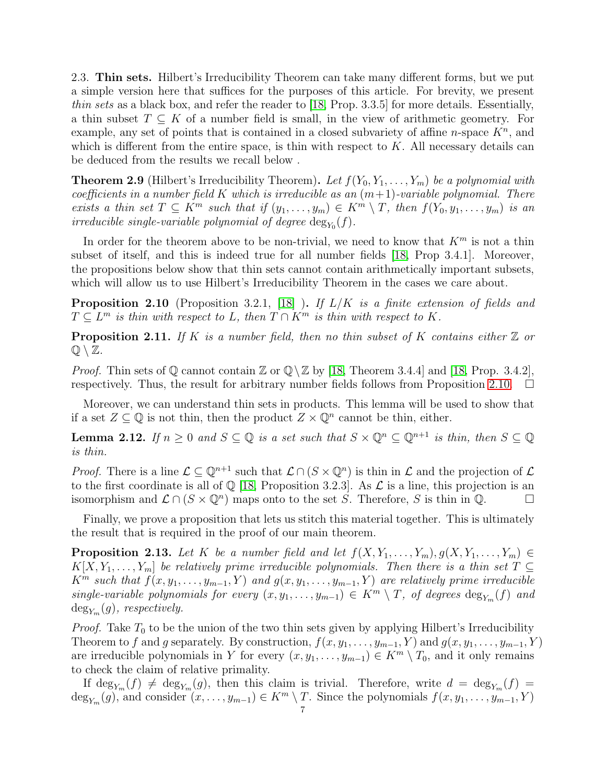2.3. Thin sets. Hilbert's Irreducibility Theorem can take many different forms, but we put a simple version here that suffices for the purposes of this article. For brevity, we present thin sets as a black box, and refer the reader to [\[18,](#page-21-6) Prop. 3.3.5] for more details. Essentially, a thin subset  $T \subseteq K$  of a number field is small, in the view of arithmetic geometry. For example, any set of points that is contained in a closed subvariety of affine *n*-space  $K<sup>n</sup>$ , and which is different from the entire space, is thin with respect to  $K$ . All necessary details can be deduced from the results we recall below .

**Theorem 2.9** (Hilbert's Irreducibility Theorem). Let  $f(Y_0, Y_1, \ldots, Y_m)$  be a polynomial with coefficients in a number field K which is irreducible as an  $(m+1)$ -variable polynomial. There exists a thin set  $T \subseteq K^m$  such that if  $(y_1, \ldots, y_m) \in K^m \setminus T$ , then  $f(Y_0, y_1, \ldots, y_m)$  is an irreducible single-variable polynomial of degree  $\deg_{Y_0}(f)$ .

In order for the theorem above to be non-trivial, we need to know that  $K^m$  is not a thin subset of itself, and this is indeed true for all number fields [\[18,](#page-21-6) Prop 3.4.1]. Moreover, the propositions below show that thin sets cannot contain arithmetically important subsets, which will allow us to use Hilbert's Irreducibility Theorem in the cases we care about.

<span id="page-6-0"></span>**Proposition 2.10** (Proposition 3.2.1, [\[18\]](#page-21-6) ). If  $L/K$  is a finite extension of fields and  $T \subseteq L^m$  is thin with respect to L, then  $T \cap K^m$  is thin with respect to K.

<span id="page-6-3"></span>**Proposition 2.11.** If K is a number field, then no thin subset of K contains either  $\mathbb{Z}$  or  $\mathbb{Q} \setminus \mathbb{Z}$ .

*Proof.* Thin sets of  $\mathbb Q$  cannot contain  $\mathbb Z$  or  $\mathbb Q \setminus \mathbb Z$  by [\[18,](#page-21-6) Theorem 3.4.4] and [18, Prop. 3.4.2], respectively. Thus, the result for arbitrary number fields follows from Proposition [2.10.](#page-6-0)  $\Box$ 

Moreover, we can understand thin sets in products. This lemma will be used to show that if a set  $Z \subseteq \mathbb{Q}$  is not thin, then the product  $Z \times \mathbb{Q}^n$  cannot be thin, either.

<span id="page-6-2"></span>**Lemma 2.12.** If  $n \geq 0$  and  $S \subseteq \mathbb{Q}$  is a set such that  $S \times \mathbb{Q}^n \subseteq \mathbb{Q}^{n+1}$  is thin, then  $S \subseteq \mathbb{Q}$ is thin.

*Proof.* There is a line  $\mathcal{L} \subseteq \mathbb{Q}^{n+1}$  such that  $\mathcal{L} \cap (S \times \mathbb{Q}^n)$  is thin in  $\mathcal{L}$  and the projection of  $\mathcal{L}$ to the first coordinate is all of  $\mathbb{Q}$  [\[18,](#page-21-6) Proposition 3.2.3]. As  $\mathcal{L}$  is a line, this projection is an isomorphism and  $\mathcal{L} \cap (S \times \mathbb{Q}^n)$  maps onto to the set S. Therefore, S is thin in  $\mathbb{Q}$ .

Finally, we prove a proposition that lets us stitch this material together. This is ultimately the result that is required in the proof of our main theorem.

<span id="page-6-1"></span>**Proposition 2.13.** Let K be a number field and let  $f(X, Y_1, \ldots, Y_m)$ ,  $g(X, Y_1, \ldots, Y_m) \in$  $K[X, Y_1, \ldots, Y_m]$  be relatively prime irreducible polynomials. Then there is a thin set  $T \subseteq$  $K^m$  such that  $f(x, y_1, \ldots, y_{m-1}, Y)$  and  $g(x, y_1, \ldots, y_{m-1}, Y)$  are relatively prime irreducible single-variable polynomials for every  $(x, y_1, \ldots, y_{m-1}) \in K^m \setminus T$ , of degrees  $\deg_{Y_m}(f)$  and  $\deg_{Y_m}(g)$ , respectively.

*Proof.* Take  $T_0$  to be the union of the two thin sets given by applying Hilbert's Irreducibility Theorem to f and g separately. By construction,  $f(x, y_1, \ldots, y_{m-1}, Y)$  and  $g(x, y_1, \ldots, y_{m-1}, Y)$ are irreducible polynomials in Y for every  $(x, y_1, \ldots, y_{m-1}) \in K^m \setminus T_0$ , and it only remains to check the claim of relative primality.

If  $\deg_{Y_m}(f) \neq \deg_{Y_m}(g)$ , then this claim is trivial. Therefore, write  $d = \deg_{Y_m}(f) =$  $\deg_{Y_m}(g)$ , and consider  $(x, \ldots, y_{m-1}) \in K^m \setminus T$ . Since the polynomials  $f(x, y_1, \ldots, y_{m-1}, Y)$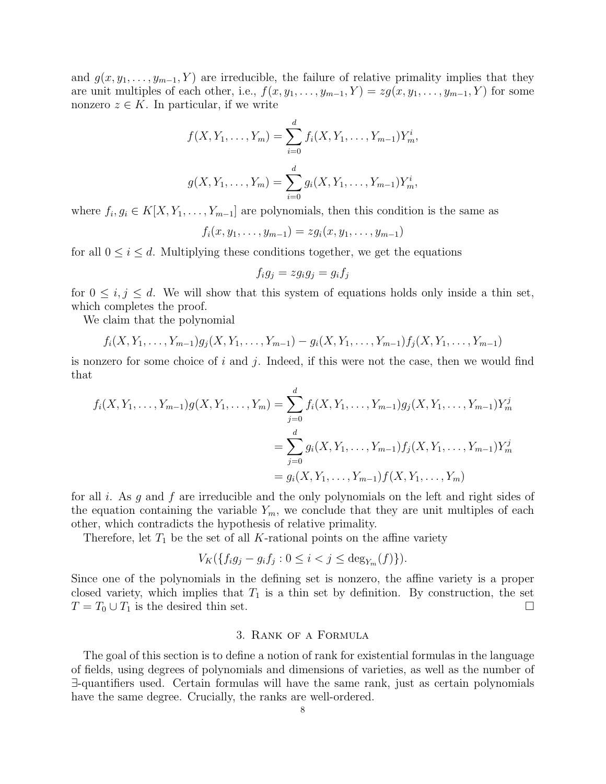and  $g(x, y_1, \ldots, y_{m-1}, Y)$  are irreducible, the failure of relative primality implies that they are unit multiples of each other, i.e.,  $f(x, y_1, \ldots, y_{m-1}, Y) = zg(x, y_1, \ldots, y_{m-1}, Y)$  for some nonzero  $z \in K$ . In particular, if we write

$$
f(X, Y_1, \dots, Y_m) = \sum_{i=0}^d f_i(X, Y_1, \dots, Y_{m-1}) Y_m^i,
$$
  

$$
g(X, Y_1, \dots, Y_m) = \sum_{i=0}^d g_i(X, Y_1, \dots, Y_{m-1}) Y_m^i,
$$

where  $f_i, g_i \in K[X, Y_1, \ldots, Y_{m-1}]$  are polynomials, then this condition is the same as

$$
f_i(x, y_1, \ldots, y_{m-1}) = zg_i(x, y_1, \ldots, y_{m-1})
$$

for all  $0 \leq i \leq d$ . Multiplying these conditions together, we get the equations

$$
f_ig_j=zg_ig_j=g_if_j
$$

for  $0 \leq i, j \leq d$ . We will show that this system of equations holds only inside a thin set, which completes the proof.

We claim that the polynomial

$$
f_i(X, Y_1, \ldots, Y_{m-1})g_j(X, Y_1, \ldots, Y_{m-1}) - g_i(X, Y_1, \ldots, Y_{m-1})f_j(X, Y_1, \ldots, Y_{m-1})
$$

is nonzero for some choice of i and j. Indeed, if this were not the case, then we would find that

$$
f_i(X, Y_1, \dots, Y_{m-1})g(X, Y_1, \dots, Y_m) = \sum_{j=0}^d f_i(X, Y_1, \dots, Y_{m-1})g_j(X, Y_1, \dots, Y_{m-1})Y_m^j
$$
  
= 
$$
\sum_{j=0}^d g_i(X, Y_1, \dots, Y_{m-1})f_j(X, Y_1, \dots, Y_{m-1})Y_m^j
$$
  
= 
$$
g_i(X, Y_1, \dots, Y_{m-1})f(X, Y_1, \dots, Y_m)
$$

for all i. As g and f are irreducible and the only polynomials on the left and right sides of the equation containing the variable  $Y_m$ , we conclude that they are unit multiples of each other, which contradicts the hypothesis of relative primality.

Therefore, let  $T_1$  be the set of all K-rational points on the affine variety

$$
V_K(\{f_i g_j - g_i f_j : 0 \le i < j \le \deg_{Y_m}(f)\}).
$$

Since one of the polynomials in the defining set is nonzero, the affine variety is a proper closed variety, which implies that  $T_1$  is a thin set by definition. By construction, the set  $T = T_0 \cup T_1$  is the desired thin set.

### 3. Rank of a Formula

<span id="page-7-0"></span>The goal of this section is to define a notion of rank for existential formulas in the language of fields, using degrees of polynomials and dimensions of varieties, as well as the number of ∃-quantifiers used. Certain formulas will have the same rank, just as certain polynomials have the same degree. Crucially, the ranks are well-ordered.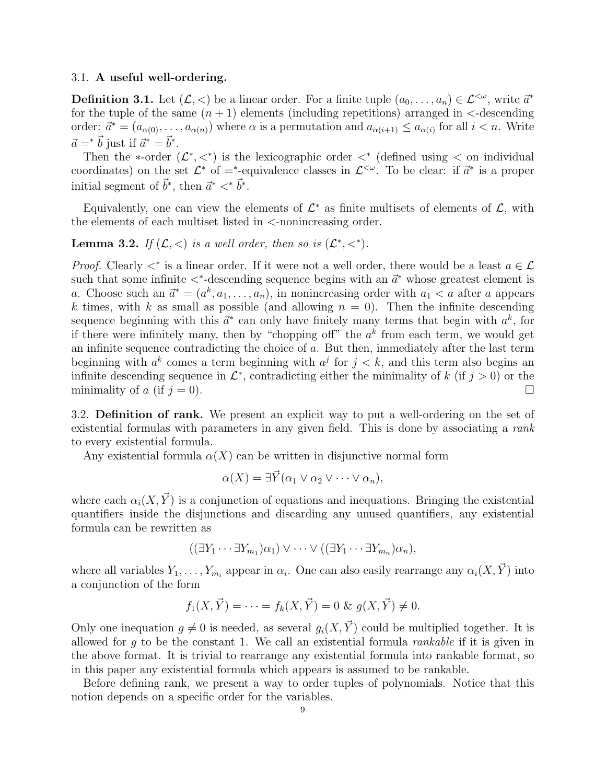### 3.1. A useful well-ordering.

<span id="page-8-0"></span>**Definition 3.1.** Let  $(\mathcal{L}, \langle \rangle)$  be a linear order. For a finite tuple  $(a_0, \ldots, a_n) \in \mathcal{L}^{<\omega}$ , write  $\vec{a}^*$ for the tuple of the same  $(n + 1)$  elements (including repetitions) arranged in  $\leq$ -descending order:  $\vec{a}^* = (a_{\alpha(0)}, \ldots, a_{\alpha(n)})$  where  $\alpha$  is a permutation and  $a_{\alpha(i+1)} \le a_{\alpha(i)}$  for all  $i < n$ . Write  $\vec{a} = \vec{b}$  just if  $\vec{a}^* = \vec{b}^*$ .

Then the \*-order  $(\mathcal{L}^*,<^*)$  is the lexicographic order  $\langle * \rangle$  (defined using  $\langle$  on individual coordinates) on the set  $\mathcal{L}^*$  of  $=^*$ -equivalence classes in  $\mathcal{L}^{<\omega}$ . To be clear: if  $\vec{a}^*$  is a proper initial segment of  $\vec{b}^*$ , then  $\vec{a}^* \lt^* \vec{b}^*$ .

Equivalently, one can view the elements of  $\mathcal{L}^*$  as finite multisets of elements of  $\mathcal{L}$ , with the elements of each multiset listed in <-nonincreasing order.

<span id="page-8-1"></span>**Lemma 3.2.** If  $(L, <)$  is a well order, then so is  $(L^*, <^*)$ .

*Proof.* Clearly  $\lt^*$  is a linear order. If it were not a well order, there would be a least  $a \in \mathcal{L}$ such that some infinite  $\lt^*$ -descending sequence begins with an  $\vec{a}^*$  whose greatest element is a. Choose such an  $\vec{a}^* = (a^k, a_1, \ldots, a_n)$ , in nonincreasing order with  $a_1 < a$  after a appears k times, with k as small as possible (and allowing  $n = 0$ ). Then the infinite descending sequence beginning with this  $\vec{a}^*$  can only have finitely many terms that begin with  $a^k$ , for if there were infinitely many, then by "chopping off" the  $a<sup>k</sup>$  from each term, we would get an infinite sequence contradicting the choice of a. But then, immediately after the last term beginning with  $a^k$  comes a term beginning with  $a^j$  for  $j < k$ , and this term also begins an infinite descending sequence in  $\mathcal{L}^*$ , contradicting either the minimality of k (if  $j > 0$ ) or the minimality of a (if  $j = 0$ ).

3.2. Definition of rank. We present an explicit way to put a well-ordering on the set of existential formulas with parameters in any given field. This is done by associating a rank to every existential formula.

Any existential formula  $\alpha(X)$  can be written in disjunctive normal form

$$
\alpha(X) = \exists \vec{Y} (\alpha_1 \vee \alpha_2 \vee \cdots \vee \alpha_n),
$$

where each  $\alpha_i(X, \vec{Y})$  is a conjunction of equations and inequations. Bringing the existential quantifiers inside the disjunctions and discarding any unused quantifiers, any existential formula can be rewritten as

$$
((\exists Y_1 \cdots \exists Y_{m_1}) \alpha_1) \vee \cdots \vee ((\exists Y_1 \cdots \exists Y_{m_n}) \alpha_n),
$$

where all variables  $Y_1, \ldots, Y_{m_i}$  appear in  $\alpha_i$ . One can also easily rearrange any  $\alpha_i(X, \vec{Y})$  into a conjunction of the form

$$
f_1(X, \vec{Y}) = \cdots = f_k(X, \vec{Y}) = 0 \& g(X, \vec{Y}) \neq 0.
$$

Only one inequation  $g \neq 0$  is needed, as several  $g_i(X, \vec{Y})$  could be multiplied together. It is allowed for  $g$  to be the constant 1. We call an existential formula *rankable* if it is given in the above format. It is trivial to rearrange any existential formula into rankable format, so in this paper any existential formula which appears is assumed to be rankable.

Before defining rank, we present a way to order tuples of polynomials. Notice that this notion depends on a specific order for the variables.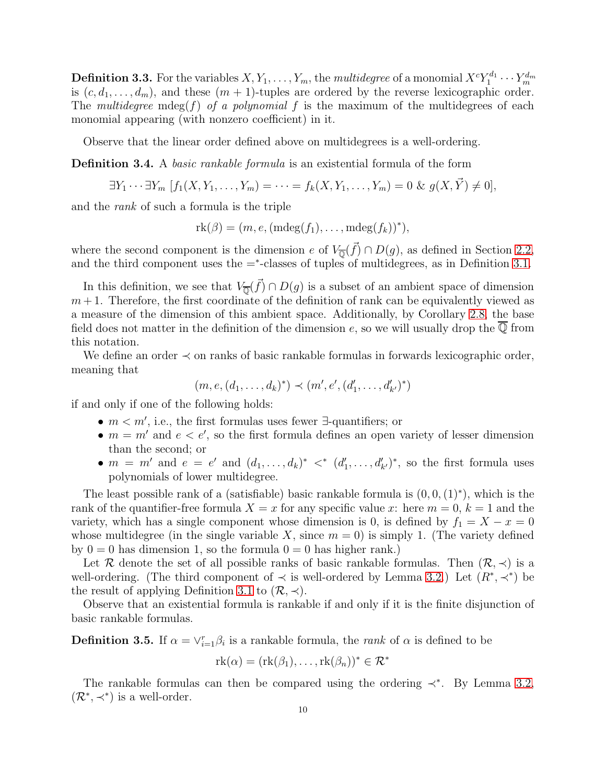**Definition 3.3.** For the variables  $X, Y_1, \ldots, Y_m,$  the  $multidegree$  of a monomial  $X^cY_1^{d_1}$  $Y_1^{d_1}\cdots Y_m^{d_m}$ is  $(c, d_1, \ldots, d_m)$ , and these  $(m + 1)$ -tuples are ordered by the reverse lexicographic order. The multidegree mdeg(f) of a polynomial f is the maximum of the multidegrees of each monomial appearing (with nonzero coefficient) in it.

Observe that the linear order defined above on multidegrees is a well-ordering.

<span id="page-9-0"></span>Definition 3.4. A basic rankable formula is an existential formula of the form

$$
\exists Y_1 \cdots \exists Y_m \ [f_1(X, Y_1, \ldots, Y_m) = \cdots = f_k(X, Y_1, \ldots, Y_m) = 0 \& g(X, \vec{Y}) \neq 0],
$$

and the rank of such a formula is the triple

$$
rk(\beta) = (m, e, (\text{mdeg}(f_1), \dots, \text{mdeg}(f_k))^*),
$$

where the second component is the dimension e of  $V_{\overline{\mathbb{Q}}}(\vec{f}) \cap D(g)$ , as defined in Section [2.2,](#page-4-0) and the third component uses the  $=$ <sup>\*</sup>-classes of tuples of multidegrees, as in Definition [3.1.](#page-8-0)

In this definition, we see that  $V_{\overline{\mathbb{Q}}}(\vec{f}) \cap D(g)$  is a subset of an ambient space of dimension  $m+1$ . Therefore, the first coordinate of the definition of rank can be equivalently viewed as a measure of the dimension of this ambient space. Additionally, by Corollary [2.8,](#page-5-1) the base field does not matter in the definition of the dimension e, so we will usually drop the  $\overline{\mathbb{Q}}$  from this notation.

We define an order ≺ on ranks of basic rankable formulas in forwards lexicographic order, meaning that

$$
(m, e, (d_1, \ldots, d_k)^*) \prec (m', e', (d'_1, \ldots, d'_{k'})^*)
$$

if and only if one of the following holds:

- $m < m'$ , i.e., the first formulas uses fewer  $\exists$ -quantifiers; or
- $m = m'$  and  $e < e'$ , so the first formula defines an open variety of lesser dimension than the second; or
- $m = m'$  and  $e = e'$  and  $(d_1, \ldots, d_k)^* \leq (d'_1, \ldots, d'_{k'})^*$ , so the first formula uses polynomials of lower multidegree.

The least possible rank of a (satisfiable) basic rankable formula is  $(0,0,(1)^*)$ , which is the rank of the quantifier-free formula  $X = x$  for any specific value x: here  $m = 0, k = 1$  and the variety, which has a single component whose dimension is 0, is defined by  $f_1 = X - x = 0$ whose multidegree (in the single variable X, since  $m = 0$ ) is simply 1. (The variety defined by  $0 = 0$  has dimension 1, so the formula  $0 = 0$  has higher rank.)

Let R denote the set of all possible ranks of basic rankable formulas. Then  $(\mathcal{R}, \prec)$  is a well-ordering. (The third component of  $\prec$  is well-ordered by Lemma [3.2.](#page-8-1)) Let  $(R^*, \prec^*)$  be the result of applying Definition [3.1](#page-8-0) to  $(\mathcal{R}, \prec)$ .

Observe that an existential formula is rankable if and only if it is the finite disjunction of basic rankable formulas.

**Definition 3.5.** If  $\alpha = \vee_{i=1}^{r} \beta_i$  is a rankable formula, the *rank* of  $\alpha$  is defined to be

$$
rk(\alpha) = (rk(\beta_1), \ldots, rk(\beta_n))^* \in \mathcal{R}^*
$$

The rankable formulas can then be compared using the ordering  $\prec^*$ . By Lemma [3.2,](#page-8-1)  $(\mathcal{R}^*, \prec^*)$  is a well-order.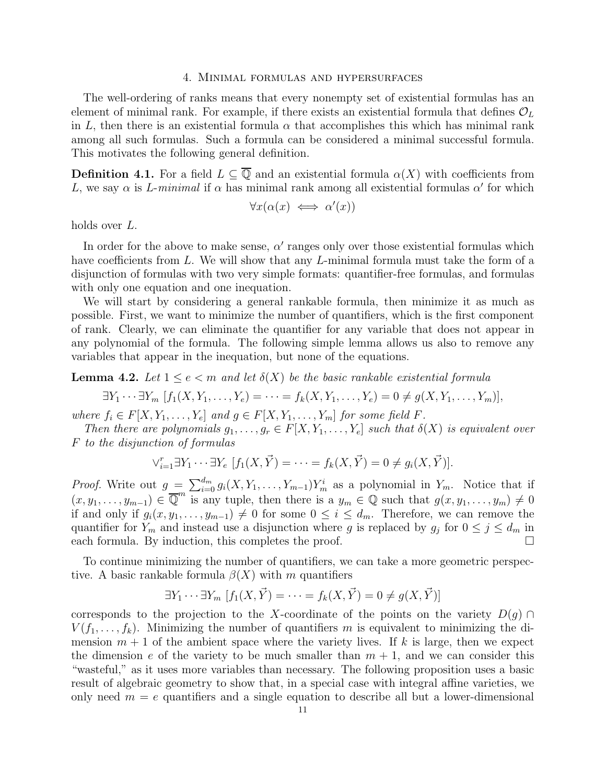#### 4. Minimal formulas and hypersurfaces

<span id="page-10-0"></span>The well-ordering of ranks means that every nonempty set of existential formulas has an element of minimal rank. For example, if there exists an existential formula that defines  $\mathcal{O}_L$ in L, then there is an existential formula  $\alpha$  that accomplishes this which has minimal rank among all such formulas. Such a formula can be considered a minimal successful formula. This motivates the following general definition.

**Definition 4.1.** For a field  $L \subseteq \overline{Q}$  and an existential formula  $\alpha(X)$  with coefficients from L, we say  $\alpha$  is L-minimal if  $\alpha$  has minimal rank among all existential formulas  $\alpha'$  for which

$$
\forall x (\alpha(x) \iff \alpha'(x))
$$

holds over L.

In order for the above to make sense,  $\alpha'$  ranges only over those existential formulas which have coefficients from L. We will show that any L-minimal formula must take the form of a disjunction of formulas with two very simple formats: quantifier-free formulas, and formulas with only one equation and one inequation.

We will start by considering a general rankable formula, then minimize it as much as possible. First, we want to minimize the number of quantifiers, which is the first component of rank. Clearly, we can eliminate the quantifier for any variable that does not appear in any polynomial of the formula. The following simple lemma allows us also to remove any variables that appear in the inequation, but none of the equations.

<span id="page-10-1"></span>**Lemma 4.2.** Let  $1 \leq e \leq m$  and let  $\delta(X)$  be the basic rankable existential formula

$$
\exists Y_1 \cdots \exists Y_m \ [f_1(X, Y_1, \ldots, Y_e) = \cdots = f_k(X, Y_1, \ldots, Y_e) = 0 \neq g(X, Y_1, \ldots, Y_m)],
$$

where  $f_i \in F[X, Y_1, \ldots, Y_e]$  and  $g \in F[X, Y_1, \ldots, Y_m]$  for some field F.

Then there are polynomials  $g_1, \ldots, g_r \in F[X, Y_1, \ldots, Y_e]$  such that  $\delta(X)$  is equivalent over F to the disjunction of formulas

$$
\vee_{i=1}^{r} \exists Y_1 \cdots \exists Y_e \ [f_1(X, \vec{Y}) = \cdots = f_k(X, \vec{Y}) = 0 \neq g_i(X, \vec{Y})].
$$

*Proof.* Write out  $g = \sum_{i=0}^{d_m} g_i(X, Y_1, \ldots, Y_{m-1}) Y_m^i$  as a polynomial in  $Y_m$ . Notice that if  $(x, y_1, \ldots, y_{m-1}) \in \overline{\mathbb{Q}}^m$  is any tuple, then there is a  $y_m \in \mathbb{Q}$  such that  $g(x, y_1, \ldots, y_m) \neq 0$ if and only if  $g_i(x, y_1, \ldots, y_{m-1}) \neq 0$  for some  $0 \leq i \leq d_m$ . Therefore, we can remove the quantifier for  $Y_m$  and instead use a disjunction where g is replaced by  $g_j$  for  $0 \leq j \leq d_m$  in each formula. By induction, this completes the proof.

To continue minimizing the number of quantifiers, we can take a more geometric perspective. A basic rankable formula  $\beta(X)$  with m quantifiers

$$
\exists Y_1 \cdots \exists Y_m \left[ f_1(X, \vec{Y}) = \cdots = f_k(X, \vec{Y}) = 0 \neq g(X, \vec{Y}) \right]
$$

corresponds to the projection to the X-coordinate of the points on the variety  $D(g) \cap$  $V(f_1,\ldots,f_k)$ . Minimizing the number of quantifiers m is equivalent to minimizing the dimension  $m + 1$  of the ambient space where the variety lives. If k is large, then we expect the dimension e of the variety to be much smaller than  $m + 1$ , and we can consider this "wasteful," as it uses more variables than necessary. The following proposition uses a basic result of algebraic geometry to show that, in a special case with integral affine varieties, we only need  $m = e$  quantifiers and a single equation to describe all but a lower-dimensional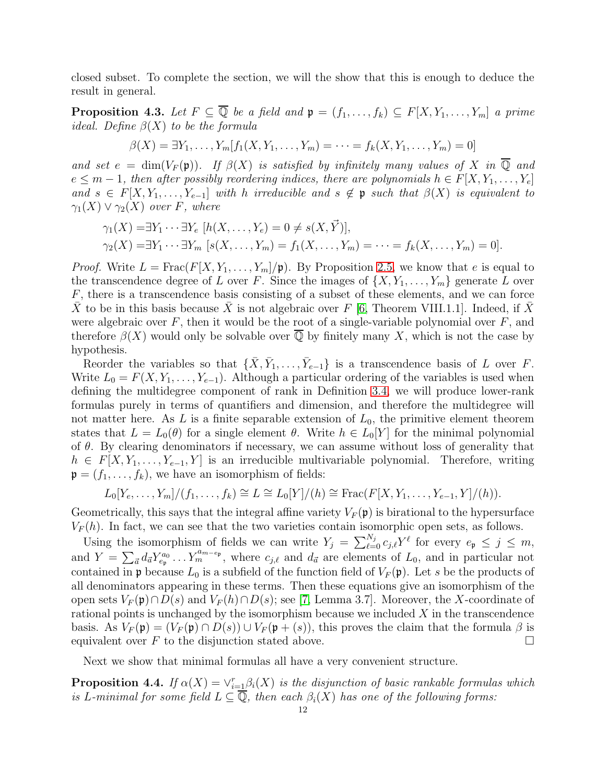closed subset. To complete the section, we will the show that this is enough to deduce the result in general.

<span id="page-11-0"></span>**Proposition 4.3.** Let  $F \subseteq \overline{\mathbb{Q}}$  be a field and  $\mathfrak{p} = (f_1, \ldots, f_k) \subseteq F[X, Y_1, \ldots, Y_m]$  a prime *ideal.* Define  $\beta(X)$  to be the formula

$$
\beta(X) = \exists Y_1, \ldots, Y_m[f_1(X, Y_1, \ldots, Y_m) = \cdots = f_k(X, Y_1, \ldots, Y_m) = 0]
$$

and set  $e = \dim(V_F(\mathfrak{p}))$ . If  $\beta(X)$  is satisfied by infinitely many values of X in  $\overline{\mathbb{Q}}$  and  $e \leq m-1$ , then after possibly reordering indices, there are polynomials  $h \in F[X, Y_1, \ldots, Y_e]$ and  $s \in F[X, Y_1, \ldots, Y_{e-1}]$  with h irreducible and  $s \notin \mathfrak{p}$  such that  $\beta(X)$  is equivalent to  $\gamma_1(X) \vee \gamma_2(X)$  over F, where

$$
\gamma_1(X) = \exists Y_1 \cdots \exists Y_e \ [h(X, \ldots, Y_e) = 0 \neq s(X, \vec{Y})],
$$
  
\n
$$
\gamma_2(X) = \exists Y_1 \cdots \exists Y_m \ [s(X, \ldots, Y_m) = f_1(X, \ldots, Y_m) = \cdots = f_k(X, \ldots, Y_m) = 0].
$$

*Proof.* Write  $L = \text{Frac}(F[X, Y_1, \ldots, Y_m]/\mathfrak{p})$ . By Proposition [2.5,](#page-5-2) we know that e is equal to the transcendence degree of L over F. Since the images of  $\{X, Y_1, \ldots, Y_m\}$  generate L over  $F$ , there is a transcendence basis consisting of a subset of these elements, and we can force X to be in this basis because X is not algebraic over F [\[6,](#page-20-7) Theorem VIII.1.1]. Indeed, if X were algebraic over  $F$ , then it would be the root of a single-variable polynomial over  $F$ , and therefore  $\beta(X)$  would only be solvable over Q by finitely many X, which is not the case by hypothesis.

Reorder the variables so that  $\{\bar{X}, \bar{Y}_1, \ldots, \bar{Y}_{e-1}\}$  is a transcendence basis of L over F. Write  $L_0 = F(X, Y_1, \ldots, Y_{e-1})$ . Although a particular ordering of the variables is used when defining the multidegree component of rank in Definition [3.4,](#page-9-0) we will produce lower-rank formulas purely in terms of quantifiers and dimension, and therefore the multidegree will not matter here. As L is a finite separable extension of  $L_0$ , the primitive element theorem states that  $L = L_0(\theta)$  for a single element  $\theta$ . Write  $h \in L_0[Y]$  for the minimal polynomial of  $\theta$ . By clearing denominators if necessary, we can assume without loss of generality that  $h \in F[X, Y_1, \ldots, Y_{e-1}, Y]$  is an irreducible multivariable polynomial. Therefore, writing  $\mathfrak{p} = (f_1, \ldots, f_k)$ , we have an isomorphism of fields:

$$
L_0[Y_e, ..., Y_m]/(f_1, ..., f_k) \cong L \cong L_0[Y]/(h) \cong \text{Frac}(F[X, Y_1, ..., Y_{e-1}, Y]/(h)).
$$

Geometrically, this says that the integral affine variety  $V_F(\mathfrak{p})$  is birational to the hypersurface  $V_F(h)$ . In fact, we can see that the two varieties contain isomorphic open sets, as follows.

Using the isomorphism of fields we can write  $Y_j = \sum_{\ell=0}^{N_j} c_{j,\ell} Y^{\ell}$  for every  $e_{\mathfrak{p}} \leq j \leq m$ , and  $Y = \sum_{\vec{a}} d_{\vec{a}} Y_{e_{\mathfrak{p}}}^{a_0} \dots Y_m^{a_{m-e_{\mathfrak{p}}}},$  where  $c_{j,\ell}$  and  $d_{\vec{a}}$  are elements of  $L_0$ , and in particular not contained in p because  $L_0$  is a subfield of the function field of  $V_F(\mathfrak{p})$ . Let s be the products of all denominators appearing in these terms. Then these equations give an isomorphism of the open sets  $V_F(\mathfrak{p}) \cap D(s)$  and  $V_F(h) \cap D(s)$ ; see [\[7,](#page-20-8) Lemma 3.7]. Moreover, the X-coordinate of rational points is unchanged by the isomorphism because we included  $X$  in the transcendence basis. As  $V_F(\mathfrak{p}) = (V_F(\mathfrak{p}) \cap D(s)) \cup V_F(\mathfrak{p}+(s))$ , this proves the claim that the formula  $\beta$  is equivalent over F to the disjunction stated above.  $\Box$ 

Next we show that minimal formulas all have a very convenient structure.

<span id="page-11-1"></span>**Proposition 4.4.** If  $\alpha(X) = \vee_{i=1}^{r} \beta_i(X)$  is the disjunction of basic rankable formulas which is L-minimal for some field  $L \subseteq \overline{Q}$ , then each  $\beta_i(X)$  has one of the following forms: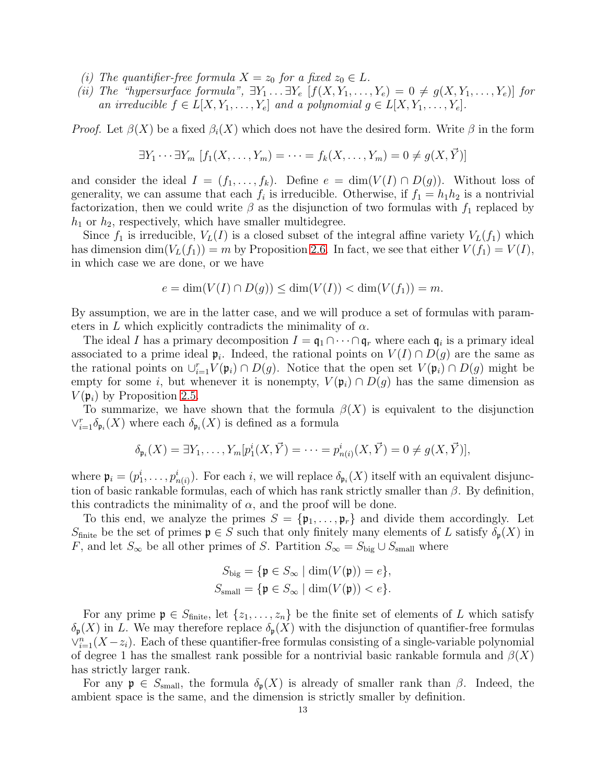- (i) The quantifier-free formula  $X = z_0$  for a fixed  $z_0 \in L$ .
- (ii) The "hypersurface formula",  $\exists Y_1 \dots \exists Y_e$   $[f(X, Y_1, \dots, Y_e) = 0 \neq g(X, Y_1, \dots, Y_e)]$  for an irreducible  $f \in L[X, Y_1, \ldots, Y_e]$  and a polynomial  $g \in L[X, Y_1, \ldots, Y_e]$ .

*Proof.* Let  $\beta(X)$  be a fixed  $\beta_i(X)$  which does not have the desired form. Write  $\beta$  in the form

$$
\exists Y_1 \cdots \exists Y_m \left[ f_1(X, \ldots, Y_m) = \cdots = f_k(X, \ldots, Y_m) = 0 \neq g(X, \vec{Y}) \right]
$$

and consider the ideal  $I = (f_1, \ldots, f_k)$ . Define  $e = \dim(V(I) \cap D(g))$ . Without loss of generality, we can assume that each  $f_i$  is irreducible. Otherwise, if  $f_1 = h_1 h_2$  is a nontrivial factorization, then we could write  $\beta$  as the disjunction of two formulas with  $f_1$  replaced by  $h_1$  or  $h_2$ , respectively, which have smaller multidegree.

Since  $f_1$  is irreducible,  $V_L(I)$  is a closed subset of the integral affine variety  $V_L(f_1)$  which has dimension  $\dim(V_L(f_1)) = m$  by Proposition [2.6.](#page-5-3) In fact, we see that either  $V(f_1) = V(I)$ , in which case we are done, or we have

$$
e = \dim(V(I) \cap D(g)) \le \dim(V(I)) < \dim(V(f_1)) = m.
$$

By assumption, we are in the latter case, and we will produce a set of formulas with parameters in L which explicitly contradicts the minimality of  $\alpha$ .

The ideal I has a primary decomposition  $I = \mathfrak{q}_1 \cap \cdots \cap \mathfrak{q}_r$  where each  $\mathfrak{q}_i$  is a primary ideal associated to a prime ideal  $\mathfrak{p}_i$ . Indeed, the rational points on  $V(I) \cap D(g)$  are the same as the rational points on  $\cup_{i=1}^r V(\mathfrak{p}_i) \cap D(g)$ . Notice that the open set  $V(\mathfrak{p}_i) \cap D(g)$  might be empty for some i, but whenever it is nonempty,  $V(\mathfrak{p}_i) \cap D(g)$  has the same dimension as  $V(\mathfrak{p}_i)$  by Proposition [2.5.](#page-5-2)

To summarize, we have shown that the formula  $\beta(X)$  is equivalent to the disjunction  $\vee_{i=1}^r \delta_{\mathfrak{p}_i}(X)$  where each  $\delta_{\mathfrak{p}_i}(X)$  is defined as a formula

$$
\delta_{\mathfrak{p}_i}(X) = \exists Y_1, \dots, Y_m[p_1^i(X, \vec{Y}) = \dots = p_{n(i)}^i(X, \vec{Y}) = 0 \neq g(X, \vec{Y})],
$$

where  $\mathfrak{p}_i = (p_1^i, \ldots, p_{n(i)}^i)$ . For each i, we will replace  $\delta_{\mathfrak{p}_i}(X)$  itself with an equivalent disjunction of basic rankable formulas, each of which has rank strictly smaller than  $\beta$ . By definition, this contradicts the minimality of  $\alpha$ , and the proof will be done.

To this end, we analyze the primes  $S = {\mathfrak{p}_1, \ldots, \mathfrak{p}_r}$  and divide them accordingly. Let S<sub>finite</sub> be the set of primes  $\mathfrak{p} \in S$  such that only finitely many elements of L satisfy  $\delta_{\mathfrak{p}}(X)$  in F, and let  $S_{\infty}$  be all other primes of S. Partition  $S_{\infty} = S_{\text{big}} \cup S_{\text{small}}$  where

$$
S_{\text{big}} = \{ \mathfrak{p} \in S_{\infty} \mid \dim(V(\mathfrak{p})) = e \},
$$
  

$$
S_{\text{small}} = \{ \mathfrak{p} \in S_{\infty} \mid \dim(V(\mathfrak{p})) < e \}.
$$

For any prime  $\mathfrak{p} \in S_{\text{finite}}$ , let  $\{z_1, \ldots, z_n\}$  be the finite set of elements of L which satisfy  $\delta_{\mathfrak{p}}(X)$  in L. We may therefore replace  $\delta_{\mathfrak{p}}(X)$  with the disjunction of quantifier-free formulas  $\vee_{i=1}^{n}(X-z_i)$ . Each of these quantifier-free formulas consisting of a single-variable polynomial of degree 1 has the smallest rank possible for a nontrivial basic rankable formula and  $\beta(X)$ has strictly larger rank.

For any  $\mathfrak{p} \in S_{\text{small}}$ , the formula  $\delta_{\mathfrak{p}}(X)$  is already of smaller rank than  $\beta$ . Indeed, the ambient space is the same, and the dimension is strictly smaller by definition.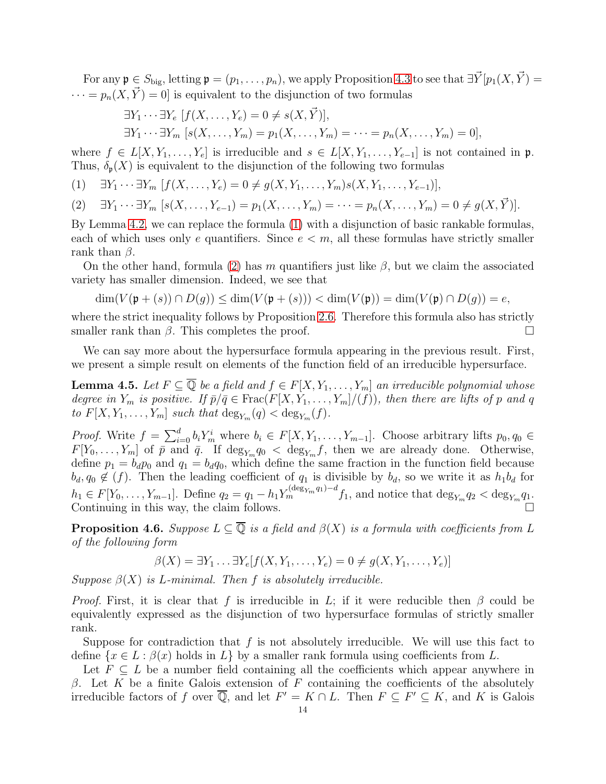For any  $\mathfrak{p} \in S_{\text{big}}$ , letting  $\mathfrak{p} = (p_1, \ldots, p_n)$ , we apply Proposition [4.3](#page-11-0) to see that  $\exists \vec{Y} [p_1(X, \vec{Y}) =$  $\cdots = p_n(X, \vec{Y}) = 0$  is equivalent to the disjunction of two formulas

$$
\exists Y_1 \cdots \exists Y_e \ [f(X, \ldots, Y_e) = 0 \neq s(X, \vec{Y})],
$$
  

$$
\exists Y_1 \cdots \exists Y_m \ [s(X, \ldots, Y_m) = p_1(X, \ldots, Y_m) = \cdots = p_n(X, \ldots, Y_m) = 0],
$$

where  $f \in L[X, Y_1, \ldots, Y_e]$  is irreducible and  $s \in L[X, Y_1, \ldots, Y_{e-1}]$  is not contained in p. Thus,  $\delta_{p}(X)$  is equivalent to the disjunction of the following two formulas

- <span id="page-13-0"></span>(1)  $\exists Y_1 \cdots \exists Y_m$   $[f(X, \ldots, Y_e) = 0 \neq g(X, Y_1, \ldots, Y_m)s(X, Y_1, \ldots, Y_{e-1})],$
- <span id="page-13-1"></span> $[2]$   $\exists Y_1 \cdots \exists Y_m$   $[s(X, \ldots, Y_{e-1}) = p_1(X, \ldots, Y_m) = \cdots = p_n(X, \ldots, Y_m) = 0 \neq q(X, \vec{Y})].$

By Lemma [4.2,](#page-10-1) we can replace the formula [\(1\)](#page-13-0) with a disjunction of basic rankable formulas, each of which uses only e quantifiers. Since  $e < m$ , all these formulas have strictly smaller rank than  $\beta$ .

On the other hand, formula [\(2\)](#page-13-1) has m quantifiers just like  $\beta$ , but we claim the associated variety has smaller dimension. Indeed, we see that

$$
\dim(V(\mathfrak{p}+(s))\cap D(g))\leq \dim(V(\mathfrak{p}+(s)))<\dim(V(\mathfrak{p}))=\dim(V(\mathfrak{p})\cap D(g))=e,
$$

where the strict inequality follows by Proposition [2.6.](#page-5-3) Therefore this formula also has strictly smaller rank than  $\beta$ . This completes the proof.  $\Box$ 

We can say more about the hypersurface formula appearing in the previous result. First, we present a simple result on elements of the function field of an irreducible hypersurface.

<span id="page-13-2"></span>**Lemma 4.5.** Let  $F \subseteq \overline{\mathbb{Q}}$  be a field and  $f \in F[X, Y_1, \ldots, Y_m]$  an irreducible polynomial whose degree in  $Y_m$  is positive. If  $\bar{p}/\bar{q} \in Frac(F[X, Y_1, \ldots, Y_m]/(f))$ , then there are lifts of p and q to  $F[X, Y_1, \ldots, Y_m]$  such that  $\deg_{Y_m}(q) < \deg_{Y_m}(f)$ .

*Proof.* Write  $f = \sum_{i=0}^d b_i Y_m^i$  where  $b_i \in F[X, Y_1, \ldots, Y_{m-1}]$ . Choose arbitrary lifts  $p_0, q_0 \in F[X, Y_1, \ldots, Y_{m-1}]$ .  $F[Y_0,\ldots,Y_m]$  of  $\bar{p}$  and  $\bar{q}$ . If  $\deg_{Y_m} q_0 < \deg_{Y_m} f$ , then we are already done. Otherwise, define  $p_1 = b_d p_0$  and  $q_1 = b_d q_0$ , which define the same fraction in the function field because  $b_d, q_0 \notin (f)$ . Then the leading coefficient of  $q_1$  is divisible by  $b_d$ , so we write it as  $h_1b_d$  for  $h_1 \in F[Y_0, \ldots, Y_{m-1}]$ . Define  $q_2 = q_1 - h_1 Y_m^{(\deg_{Y_m} q_1) - d} f_1$ , and notice that  $\deg_{Y_m} q_2 < \deg_{Y_m} q_1$ . Continuing in this way, the claim follows.

<span id="page-13-3"></span>**Proposition 4.6.** Suppose  $L \subseteq \overline{Q}$  is a field and  $\beta(X)$  is a formula with coefficients from L of the following form

$$
\beta(X) = \exists Y_1 \dots \exists Y_e[f(X, Y_1, \dots, Y_e) = 0 \neq g(X, Y_1, \dots, Y_e)]
$$

Suppose  $\beta(X)$  is L-minimal. Then f is absolutely irreducible.

*Proof.* First, it is clear that f is irreducible in L; if it were reducible then  $\beta$  could be equivalently expressed as the disjunction of two hypersurface formulas of strictly smaller rank.

Suppose for contradiction that  $f$  is not absolutely irreducible. We will use this fact to define  $\{x \in L : \beta(x) \text{ holds in } L\}$  by a smaller rank formula using coefficients from L.

Let  $F \subseteq L$  be a number field containing all the coefficients which appear anywhere in β. Let K be a finite Galois extension of F containing the coefficients of the absolutely irreducible factors of f over  $\overline{Q}$ , and let  $F' = K \cap L$ . Then  $F \subseteq F' \subseteq K$ , and K is Galois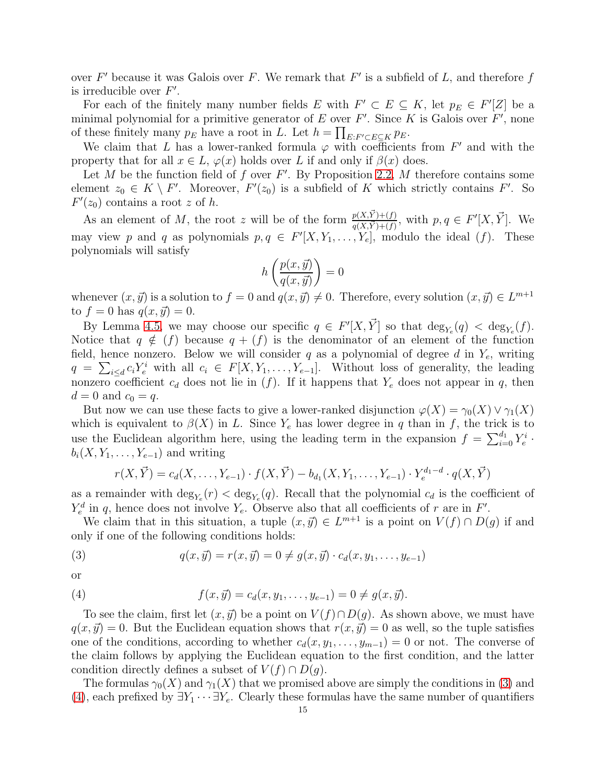over  $F'$  because it was Galois over F. We remark that  $F'$  is a subfield of L, and therefore f is irreducible over  $F'$ .

For each of the finitely many number fields E with  $F' \subset E \subseteq K$ , let  $p_E \in F'[Z]$  be a minimal polynomial for a primitive generator of  $E$  over  $F'$ . Since  $K$  is Galois over  $F'$ , none of these finitely many  $p_E$  have a root in L. Let  $h = \prod_{E: F' \subset E \subseteq K} p_E$ .

We claim that L has a lower-ranked formula  $\varphi$  with coefficients from  $F'$  and with the property that for all  $x \in L$ ,  $\varphi(x)$  holds over L if and only if  $\beta(x)$  does.

Let M be the function field of f over  $F'$ . By Proposition [2.2,](#page-3-0) M therefore contains some element  $z_0 \in K \setminus F'$ . Moreover,  $F'(z_0)$  is a subfield of K which strictly contains  $F'$ . So  $F'(z_0)$  contains a root z of h.

As an element of M, the root z will be of the form  $\frac{p(X,\vec{Y})+(f)}{q(X,\vec{Y})+(f)}$ , with  $p, q \in F'[X,\vec{Y}]$ . We may view p and q as polynomials  $p, q \in F'[X, Y_1, \ldots, Y_e]$ , modulo the ideal  $(f)$ . These polynomials will satisfy

$$
h\left(\frac{p(x,\vec{y})}{q(x,\vec{y})}\right) = 0
$$

whenever  $(x, \vec{y})$  is a solution to  $f = 0$  and  $q(x, \vec{y}) \neq 0$ . Therefore, every solution  $(x, \vec{y}) \in L^{m+1}$ to  $f = 0$  has  $q(x, \vec{y}) = 0$ .

By Lemma [4.5,](#page-13-2) we may choose our specific  $q \in F'[X,\vec{Y}]$  so that  $\deg_{Y_e}(q) < \deg_{Y_e}(f)$ . Notice that  $q \notin (f)$  because  $q + (f)$  is the denominator of an element of the function field, hence nonzero. Below we will consider q as a polynomial of degree d in  $Y_e$ , writing  $q = \sum_{i \leq d} c_i Y_e^i$  with all  $c_i \in F[X, Y_1, \ldots, Y_{e-1}]$ . Without loss of generality, the leading nonzero coefficient  $c_d$  does not lie in  $(f)$ . If it happens that  $Y_e$  does not appear in q, then  $d = 0$  and  $c_0 = q$ .

But now we can use these facts to give a lower-ranked disjunction  $\varphi(X) = \gamma_0(X) \vee \gamma_1(X)$ which is equivalent to  $\beta(X)$  in L. Since Y<sub>e</sub> has lower degree in q than in f, the trick is to use the Euclidean algorithm here, using the leading term in the expansion  $f = \sum_{i=0}^{d_1} Y_e^i$ .  $b_i(X, Y_1, \ldots, Y_{e-1})$  and writing

<span id="page-14-0"></span>
$$
r(X, \vec{Y}) = c_d(X, \dots, Y_{e-1}) \cdot f(X, \vec{Y}) - b_{d_1}(X, Y_1, \dots, Y_{e-1}) \cdot Y_e^{d_1 - d} \cdot q(X, \vec{Y})
$$

as a remainder with  $\deg_{Y_e}(r) < \deg_{Y_e}(q)$ . Recall that the polynomial  $c_d$  is the coefficient of  $Y_e^d$  in q, hence does not involve  $Y_e$ . Observe also that all coefficients of r are in F'.

We claim that in this situation, a tuple  $(x, \vec{y}) \in L^{m+1}$  is a point on  $V(f) \cap D(g)$  if and only if one of the following conditions holds:

(3) 
$$
q(x, \vec{y}) = r(x, \vec{y}) = 0 \neq g(x, \vec{y}) \cdot c_d(x, y_1, \dots, y_{e-1})
$$

or

<span id="page-14-1"></span>(4) 
$$
f(x, \vec{y}) = c_d(x, y_1, \dots, y_{e-1}) = 0 \neq g(x, \vec{y}).
$$

To see the claim, first let  $(x, \vec{y})$  be a point on  $V(f) \cap D(q)$ . As shown above, we must have  $q(x, \vec{y}) = 0$ . But the Euclidean equation shows that  $r(x, \vec{y}) = 0$  as well, so the tuple satisfies one of the conditions, according to whether  $c_d(x, y_1, \ldots, y_{m-1}) = 0$  or not. The converse of the claim follows by applying the Euclidean equation to the first condition, and the latter condition directly defines a subset of  $V(f) \cap D(g)$ .

The formulas  $\gamma_0(X)$  and  $\gamma_1(X)$  that we promised above are simply the conditions in [\(3\)](#page-14-0) and [\(4\)](#page-14-1), each prefixed by  $\exists Y_1 \cdots \exists Y_e$ . Clearly these formulas have the same number of quantifiers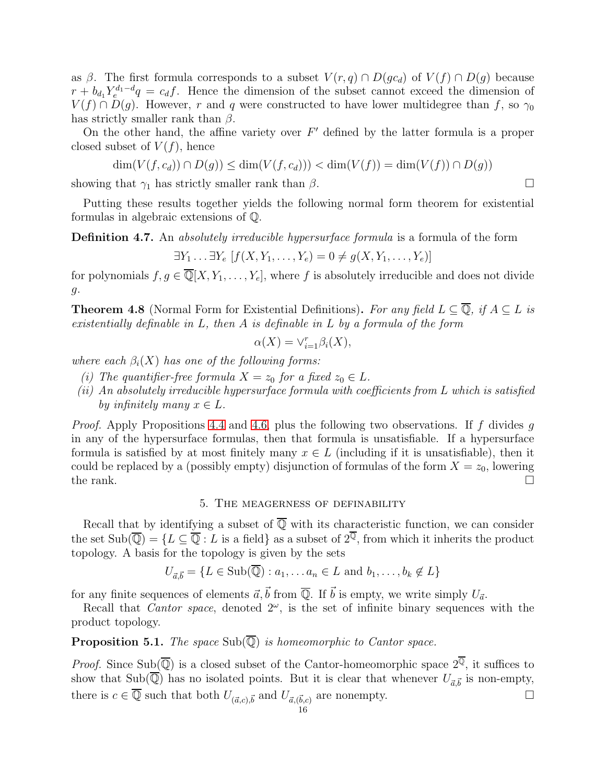as β. The first formula corresponds to a subset  $V(r, q) \cap D(gc_d)$  of  $V(f) \cap D(g)$  because  $r + b_{d_1} Y_e^{d_1-d} q = c_d f$ . Hence the dimension of the subset cannot exceed the dimension of  $V(f) \cap D(g)$ . However, r and q were constructed to have lower multidegree than f, so  $\gamma_0$ has strictly smaller rank than  $\beta$ .

On the other hand, the affine variety over  $F'$  defined by the latter formula is a proper closed subset of  $V(f)$ , hence

$$
\dim(V(f, c_d)) \cap D(g)) \le \dim(V(f, c_d))) < \dim(V(f)) = \dim(V(f)) \cap D(g))
$$

showing that  $\gamma_1$  has strictly smaller rank than  $\beta$ .

Putting these results together yields the following normal form theorem for existential formulas in algebraic extensions of Q.

Definition 4.7. An absolutely irreducible hypersurface formula is a formula of the form

$$
\exists Y_1 \ldots \exists Y_e \left[ f(X, Y_1, \ldots, Y_e) = 0 \neq g(X, Y_1, \ldots, Y_e) \right]
$$

for polynomials  $f, g \in \overline{\mathbb{Q}}[X, Y_1, \ldots, Y_e]$ , where f is absolutely irreducible and does not divide g.

<span id="page-15-0"></span>**Theorem 4.8** (Normal Form for Existential Definitions). For any field  $L \subseteq \overline{Q}$ , if  $A \subseteq L$  is existentially definable in  $L$ , then  $A$  is definable in  $L$  by a formula of the form

$$
\alpha(X) = \vee_{i=1}^{r} \beta_i(X),
$$

where each  $\beta_i(X)$  has one of the following forms:

- (i) The quantifier-free formula  $X = z_0$  for a fixed  $z_0 \in L$ .
- $(ii)$  An absolutely irreducible hypersurface formula with coefficients from L which is satisfied by infinitely many  $x \in L$ .

*Proof.* Apply Propositions [4.4](#page-11-1) and [4.6,](#page-13-3) plus the following two observations. If f divides q in any of the hypersurface formulas, then that formula is unsatisfiable. If a hypersurface formula is satisfied by at most finitely many  $x \in L$  (including if it is unsatisfiable), then it could be replaced by a (possibly empty) disjunction of formulas of the form  $X = z_0$ , lowering the rank.  $\Box$ 

#### 5. The meagerness of definability

<span id="page-15-1"></span>Recall that by identifying a subset of  $\overline{Q}$  with its characteristic function, we can consider the set  $\text{Sub}(\overline{\mathbb{Q}}) = \{L \subseteq \overline{\mathbb{Q}} : L \text{ is a field}\}\$ as a subset of  $2^{\overline{\mathbb{Q}}}$ , from which it inherits the product topology. A basis for the topology is given by the sets

$$
U_{\vec{a},\vec{b}} = \{L \in \text{Sub}(\overline{\mathbb{Q}}) : a_1, \dots a_n \in L \text{ and } b_1, \dots, b_k \notin L\}
$$

for any finite sequences of elements  $\vec{a}, \vec{b}$  from  $\overline{\mathbb{O}}$ . If  $\vec{b}$  is empty, we write simply  $U_{\vec{a}}$ .

Recall that *Cantor space*, denoted  $2^\omega$ , is the set of infinite binary sequences with the product topology.

<span id="page-15-2"></span>**Proposition 5.1.** The space  $\text{Sub}(\overline{\mathbb{Q}})$  is homeomorphic to Cantor space.

*Proof.* Since Sub( $\overline{Q}$ ) is a closed subset of the Cantor-homeomorphic space  $2^{\overline{Q}}$ , it suffices to show that Sub( $\mathbb{Q}$ ) has no isolated points. But it is clear that whenever  $U_{\vec{a}, \vec{b}}$  is non-empty, there is  $c \in \overline{\mathbb{Q}}$  such that both  $U_{(\vec{a},c),\vec{b}}$  and  $U_{\vec{a},(\vec{b},c)}$  are nonempty.

$$
\overline{16}
$$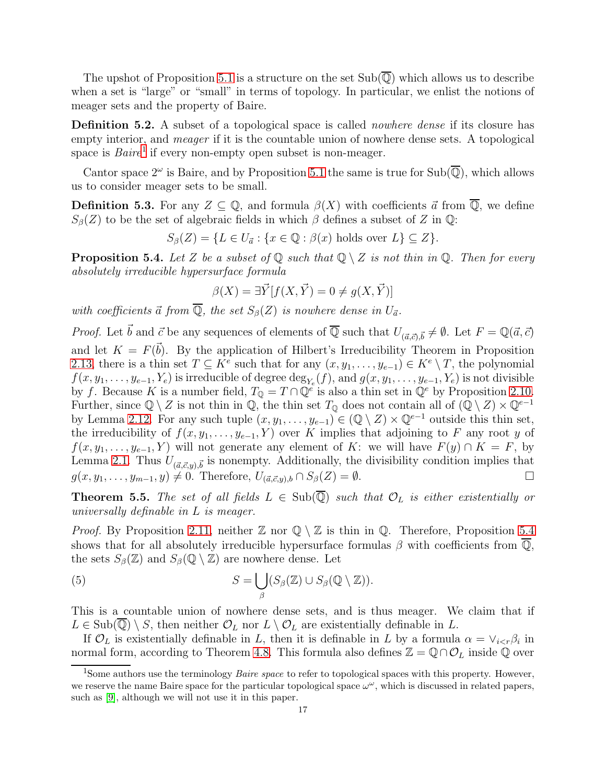The upshot of Proposition [5.1](#page-15-2) is a structure on the set  $Sub(\overline{\mathbb{Q}})$  which allows us to describe when a set is "large" or "small" in terms of topology. In particular, we enlist the notions of meager sets and the property of Baire.

Definition 5.2. A subset of a topological space is called *nowhere dense* if its closure has empty interior, and *meager* if it is the countable union of nowhere dense sets. A topological space is  $Baire<sup>1</sup>$  $Baire<sup>1</sup>$  $Baire<sup>1</sup>$  if every non-empty open subset is non-meager.

Cantor space  $2^{\omega}$  is Baire, and by Proposition [5.1](#page-15-2) the same is true for Sub $(\overline{\mathbb{Q}})$ , which allows us to consider meager sets to be small.

**Definition 5.3.** For any  $Z \subseteq \mathbb{Q}$ , and formula  $\beta(X)$  with coefficients  $\vec{a}$  from  $\overline{\mathbb{Q}}$ , we define  $S_{\beta}(Z)$  to be the set of algebraic fields in which  $\beta$  defines a subset of Z in Q:

$$
S_{\beta}(Z) = \{ L \in U_{\vec{a}} : \{ x \in \mathbb{Q} : \beta(x) \text{ holds over } L \} \subseteq Z \}.
$$

<span id="page-16-1"></span>**Proposition 5.4.** Let Z be a subset of Q such that  $\mathbb{Q} \setminus \mathbb{Z}$  is not thin in Q. Then for every absolutely irreducible hypersurface formula

$$
\beta(X) = \exists \vec{Y} [f(X, \vec{Y}) = 0 \neq g(X, \vec{Y})]
$$

with coefficients  $\vec{a}$  from  $\overline{\mathbb{Q}}$ , the set  $S_{\beta}(Z)$  is nowhere dense in  $U_{\vec{a}}$ .

*Proof.* Let  $\vec{b}$  and  $\vec{c}$  be any sequences of elements of  $\overline{Q}$  such that  $U_{(\vec{a},\vec{c}),\vec{b}} \neq \emptyset$ . Let  $F = \mathbb{Q}(\vec{a},\vec{c})$ and let  $K = F(\vec{b})$ . By the application of Hilbert's Irreducibility Theorem in Proposition [2.13,](#page-6-1) there is a thin set  $T \subseteq K^e$  such that for any  $(x, y_1, \ldots, y_{e-1}) \in K^e \setminus T$ , the polynomial  $f(x, y_1, \ldots, y_{e-1}, Y_e)$  is irreducible of degree  $\deg_{Y_e}(f)$ , and  $g(x, y_1, \ldots, y_{e-1}, Y_e)$  is not divisible by f. Because K is a number field,  $T_{\mathbb{Q}} = T \cap \mathbb{Q}^e$  is also a thin set in  $\mathbb{Q}^e$  by Proposition [2.10.](#page-6-0) Further, since  $\mathbb{Q} \setminus Z$  is not thin in  $\mathbb{Q}$ , the thin set  $T_{\mathbb{Q}}$  does not contain all of  $(\mathbb{Q} \setminus Z) \times \mathbb{Q}^{e-1}$ by Lemma [2.12.](#page-6-2) For any such tuple  $(x, y_1, \ldots, y_{e-1}) \in (\mathbb{Q} \setminus Z) \times \mathbb{Q}^{e-1}$  outside this thin set, the irreducibility of  $f(x, y_1, \ldots, y_{e-1}, Y)$  over K implies that adjoining to F any root y of  $f(x, y_1, \ldots, y_{e-1}, Y)$  will not generate any element of K: we will have  $F(y) \cap K = F$ , by Lemma [2.1.](#page-2-1) Thus  $U_{(\vec{a}, \vec{c}, y), \vec{b}}$  is nonempty. Additionally, the divisibility condition implies that  $g(x, y_1, \ldots, y_{m-1}, y) \neq 0$ . Therefore,  $U_{(\vec{a}, \vec{c}, y), b} \cap S_{\beta}(Z) = \emptyset$ .

<span id="page-16-3"></span>**Theorem 5.5.** The set of all fields  $L \in Sub(\overline{\mathbb{Q}})$  such that  $\mathcal{O}_L$  is either existentially or universally definable in L is meager.

*Proof.* By Proposition [2.11,](#page-6-3) neither  $\mathbb{Z}$  nor  $\mathbb{Q} \setminus \mathbb{Z}$  is thin in  $\mathbb{Q}$ . Therefore, Proposition [5.4](#page-16-1) shows that for all absolutely irreducible hypersurface formulas  $\beta$  with coefficients from  $\overline{\mathbb{Q}}$ , the sets  $S_{\beta}(\mathbb{Z})$  and  $S_{\beta}(\mathbb{Q}\setminus\mathbb{Z})$  are nowhere dense. Let

<span id="page-16-2"></span>(5) 
$$
S = \bigcup_{\beta} (S_{\beta}(\mathbb{Z}) \cup S_{\beta}(\mathbb{Q} \setminus \mathbb{Z})).
$$

This is a countable union of nowhere dense sets, and is thus meager. We claim that if  $L \in Sub(\mathbb{Q}) \setminus S$ , then neither  $\mathcal{O}_L$  nor  $L \setminus \mathcal{O}_L$  are existentially definable in L.

If  $\mathcal{O}_L$  is existentially definable in L, then it is definable in L by a formula  $\alpha = \vee_{i \leq r} \beta_i$  in normal form, according to Theorem [4.8.](#page-15-0) This formula also defines  $\mathbb{Z} = \mathbb{Q} \cap \mathcal{O}_L$  inside  $\mathbb{Q}$  over

<span id="page-16-0"></span><sup>&</sup>lt;sup>1</sup>Some authors use the terminology *Baire space* to refer to topological spaces with this property. However, we reserve the name Baire space for the particular topological space  $\omega^{\omega}$ , which is discussed in related papers, such as [\[9\]](#page-20-10), although we will not use it in this paper.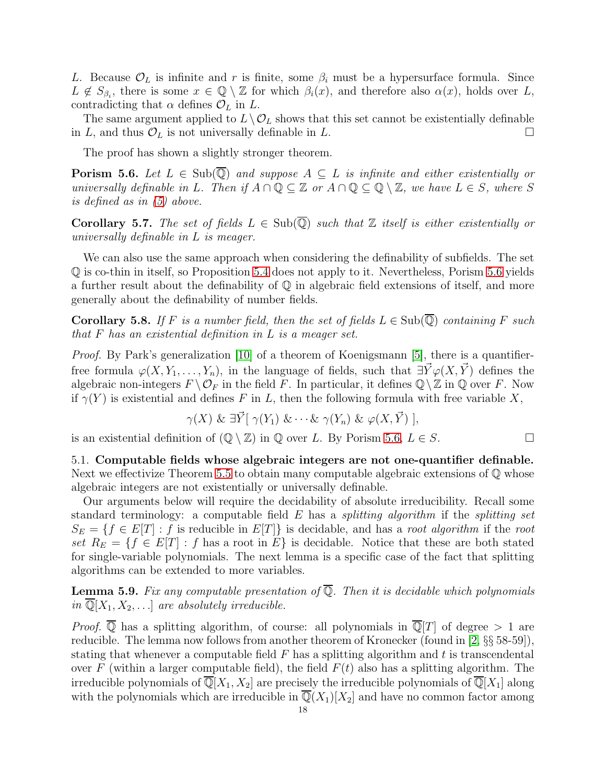L. Because  $\mathcal{O}_L$  is infinite and r is finite, some  $\beta_i$  must be a hypersurface formula. Since  $L \notin S_{\beta_i}$ , there is some  $x \in \mathbb{Q} \setminus \mathbb{Z}$  for which  $\beta_i(x)$ , and therefore also  $\alpha(x)$ , holds over L, contradicting that  $\alpha$  defines  $\mathcal{O}_L$  in  $L$ .

The same argument applied to  $L\setminus\mathcal{O}_L$  shows that this set cannot be existentially definable in L, and thus  $\mathcal{O}_L$  is not universally definable in L.

The proof has shown a slightly stronger theorem.

<span id="page-17-0"></span>**Porism 5.6.** Let  $L \in Sub(\overline{Q})$  and suppose  $A \subseteq L$  is infinite and either existentially or universally definable in L. Then if  $A \cap \mathbb{Q} \subseteq \mathbb{Z}$  or  $A \cap \mathbb{Q} \subseteq \mathbb{Q} \setminus \mathbb{Z}$ , we have  $L \in S$ , where S is defined as in [\(5\)](#page-16-2) above.

Corollary 5.7. The set of fields  $L \in Sub(\overline{Q})$  such that Z itself is either existentially or universally definable in L is meager.

We can also use the same approach when considering the definability of subfields. The set Q is co-thin in itself, so Proposition [5.4](#page-16-1) does not apply to it. Nevertheless, Porism [5.6](#page-17-0) yields a further result about the definability of  $\mathbb Q$  in algebraic field extensions of itself, and more generally about the definability of number fields.

**Corollary 5.8.** If F is a number field, then the set of fields  $L \in Sub(\mathbb{Q})$  containing F such that F has an existential definition in L is a meager set.

Proof. By Park's generalization [\[10\]](#page-20-5) of a theorem of Koenigsmann [\[5\]](#page-20-4), there is a quantifierfree formula  $\varphi(X, Y_1, \ldots, Y_n)$ , in the language of fields, such that  $\exists \vec{Y} \varphi(X, \vec{Y})$  defines the algebraic non-integers  $F \setminus \mathcal{O}_F$  in the field F. In particular, it defines  $\mathbb{Q} \setminus \mathbb{Z}$  in  $\mathbb{Q}$  over F. Now if  $\gamma(Y)$  is existential and defines F in L, then the following formula with free variable X,

$$
\gamma(X) \& \exists \vec{Y} [\gamma(Y_1) \& \cdots \& \gamma(Y_n) \& \varphi(X, \vec{Y})],
$$

is an existential definition of  $(\mathbb{Q} \setminus \mathbb{Z})$  in  $\mathbb{Q}$  over L. By Porism [5.6,](#page-17-0)  $L \in S$ .

5.1. Computable fields whose algebraic integers are not one-quantifier definable. Next we effectivize Theorem [5.5](#page-16-3) to obtain many computable algebraic extensions of  $\mathbb Q$  whose algebraic integers are not existentially or universally definable.

Our arguments below will require the decidability of absolute irreducibility. Recall some standard terminology: a computable field  $E$  has a *splitting algorithm* if the *splitting set*  $S_E = \{f \in E[T] : f \text{ is reducible in } E[T]\}$  is decidable, and has a root algorithm if the root set  $R_E = \{f \in E[T] : f$  has a root in E} is decidable. Notice that these are both stated for single-variable polynomials. The next lemma is a specific case of the fact that splitting algorithms can be extended to more variables.

**Lemma 5.9.** Fix any computable presentation of  $\overline{Q}$ . Then it is decidable which polynomials in  $\overline{\mathbb{Q}}[X_1, X_2, \ldots]$  are absolutely irreducible.

*Proof.*  $\overline{\mathbb{Q}}$  has a splitting algorithm, of course: all polynomials in  $\overline{\mathbb{Q}}[T]$  of degree  $> 1$  are reducible. The lemma now follows from another theorem of Kronecker (found in [\[2,](#page-20-11) §§ 58-59]), stating that whenever a computable field  $F$  has a splitting algorithm and t is transcendental over F (within a larger computable field), the field  $F(t)$  also has a splitting algorithm. The irreducible polynomials of  $\mathbb{Q}[X_1, X_2]$  are precisely the irreducible polynomials of  $\mathbb{Q}[X_1]$  along with the polynomials which are irreducible in  $\overline{\mathbb{Q}}(X_1)[X_2]$  and have no common factor among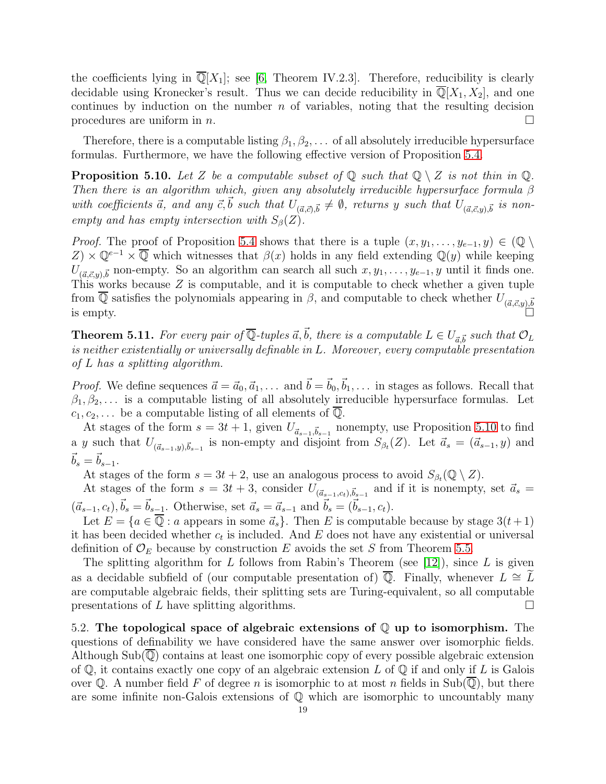the coefficients lying in  $\mathbb{Q}[X_1]$ ; see [\[6,](#page-20-7) Theorem IV.2.3]. Therefore, reducibility is clearly decidable using Kronecker's result. Thus we can decide reducibility in  $\mathbb{Q}[X_1, X_2]$ , and one continues by induction on the number  $n$  of variables, noting that the resulting decision procedures are uniform in  $n$ .

Therefore, there is a computable listing  $\beta_1, \beta_2, \ldots$  of all absolutely irreducible hypersurface formulas. Furthermore, we have the following effective version of Proposition [5.4.](#page-16-1)

<span id="page-18-1"></span>**Proposition 5.10.** Let Z be a computable subset of  $\mathbb{Q}$  such that  $\mathbb{Q} \setminus Z$  is not thin in  $\mathbb{Q}$ . Then there is an algorithm which, given any absolutely irreducible hypersurface formula  $\beta$ with coefficients  $\vec{a}$ , and any  $\vec{c}$ ,  $\vec{b}$  such that  $U_{(\vec{a},\vec{c}),\vec{b}} \neq \emptyset$ , returns y such that  $U_{(\vec{a},\vec{c},y),\vec{b}}$  is nonempty and has empty intersection with  $S_\beta(Z)$ .

*Proof.* The proof of Proposition [5.4](#page-16-1) shows that there is a tuple  $(x, y_1, \ldots, y_{e-1}, y) \in \mathbb{Q} \setminus$  $Z \times \mathbb{Q}^{e-1} \times \overline{\mathbb{Q}}$  which witnesses that  $\beta(x)$  holds in any field extending  $\mathbb{Q}(y)$  while keeping  $U_{(\vec{a}, \vec{c}, y), \vec{b}}$  non-empty. So an algorithm can search all such  $x, y_1, \ldots, y_{e-1}, y$  until it finds one. This works because  $Z$  is computable, and it is computable to check whether a given tuple from  $\mathbb Q$  satisfies the polynomials appearing in  $\beta$ , and computable to check whether  $U_{(\vec{a},\vec{c},y),\vec{b}}$ <br>is empty.

<span id="page-18-0"></span>**Theorem 5.11.** For every pair of  $\overline{Q}$ -tuples  $\vec{a}, \vec{b}$ , there is a computable  $L \in U_{\vec{a}, \vec{b}}$  such that  $\mathcal{O}_L$ is neither existentially or universally definable in L. Moreover, every computable presentation of L has a splitting algorithm.

*Proof.* We define sequences  $\vec{a} = \vec{a}_0, \vec{a}_1, \ldots$  and  $\vec{b} = \vec{b}_0, \vec{b}_1, \ldots$  in stages as follows. Recall that  $\beta_1, \beta_2, \ldots$  is a computable listing of all absolutely irreducible hypersurface formulas. Let  $c_1, c_2, \ldots$  be a computable listing of all elements of  $\mathbb{Q}$ .

At stages of the form  $s = 3t + 1$ , given  $U_{\vec{a}_{s-1}, \vec{b}_{s-1}}$  nonempty, use Proposition [5.10](#page-18-1) to find a y such that  $U_{(\vec{a}_{s-1},y),\vec{b}_{s-1}}$  is non-empty and disjoint from  $S_{\beta_t}(Z)$ . Let  $\vec{a}_s = (\vec{a}_{s-1},y)$  and  $\vec{b}_s = \vec{b}_{s-1}.$ 

At stages of the form  $s = 3t + 2$ , use an analogous process to avoid  $S_{\beta_t}(\mathbb{Q} \setminus Z)$ .

At stages of the form  $s = 3t + 3$ , consider  $U_{(\vec{a}_{s-1},c_t),\vec{b}_{s-1}}$  and if it is nonempty, set  $\vec{a}_s =$  $(\vec{a}_{s-1}, c_t), \vec{b}_s = \vec{b}_{s-1}$ . Otherwise, set  $\vec{a}_s = \vec{a}_{s-1}$  and  $\vec{b}_s = (\vec{b}_{s-1}, c_t)$ .

Let  $E = \{a \in \mathbb{Q} : a \text{ appears in some } \vec{a}_s\}.$  Then E is computable because by stage  $3(t+1)$ it has been decided whether  $c_t$  is included. And E does not have any existential or universal definition of  $\mathcal{O}_E$  because by construction E avoids the set S from Theorem [5.5.](#page-16-3)

The splitting algorithm for  $L$  follows from Rabin's Theorem (see [\[12\]](#page-20-12)), since  $L$  is given as a decidable subfield of (our computable presentation of)  $\overline{Q}$ . Finally, whenever  $L \cong L$ are computable algebraic fields, their splitting sets are Turing-equivalent, so all computable presentations of L have splitting algorithms.

5.2. The topological space of algebraic extensions of Q up to isomorphism. The questions of definability we have considered have the same answer over isomorphic fields. Although  $\text{Sub}(\mathbb{Q})$  contains at least one isomorphic copy of every possible algebraic extension of  $\mathbb Q$ , it contains exactly one copy of an algebraic extension L of  $\mathbb Q$  if and only if L is Galois over  $\mathbb Q$ . A number field F of degree n is isomorphic to at most n fields in Sub( $\mathbb Q$ ), but there are some infinite non-Galois extensions of  $\mathbb Q$  which are isomorphic to uncountably many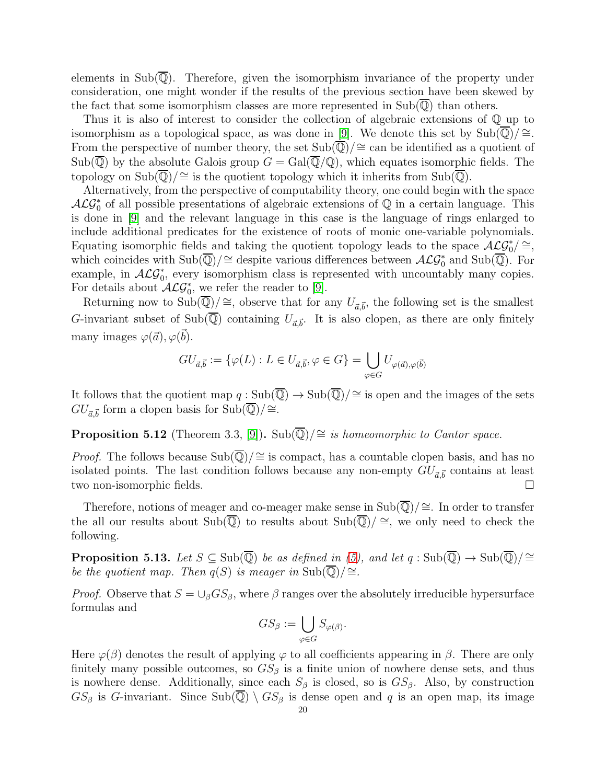elements in  $Sub(\overline{\mathbb{Q}})$ . Therefore, given the isomorphism invariance of the property under consideration, one might wonder if the results of the previous section have been skewed by the fact that some isomorphism classes are more represented in  $\text{Sub}(\mathbb{Q})$  than others.

Thus it is also of interest to consider the collection of algebraic extensions of Q up to isomorphism as a topological space, as was done in [\[9\]](#page-20-10). We denote this set by  $\text{Sub}(\mathbb{Q})/\cong$ . From the perspective of number theory, the set  $Sub(\overline{\mathbb{Q}})/\cong \text{can}$  be identified as a quotient of  $\text{Sub}(\overline{\mathbb{Q}})$  by the absolute Galois group  $G = \text{Gal}(\overline{\mathbb{Q}}/\mathbb{Q})$ , which equates isomorphic fields. The topology on  $\text{Sub}(\overline{\mathbb{Q}})/\cong$  is the quotient topology which it inherits from  $\text{Sub}(\overline{\mathbb{Q}})$ .

Alternatively, from the perspective of computability theory, one could begin with the space  $\mathcal{ALG}_0^*$  of all possible presentations of algebraic extensions of  $\mathbb Q$  in a certain language. This is done in [\[9\]](#page-20-10) and the relevant language in this case is the language of rings enlarged to include additional predicates for the existence of roots of monic one-variable polynomials. Equating isomorphic fields and taking the quotient topology leads to the space  $ACG_0^*$   $\cong$ , which coincides with  $Sub(\overline{\mathbb{Q}})/\cong$  despite various differences between  $\mathcal{ALG}_0^*$  and  $Sub(\overline{\mathbb{Q}})$ . For example, in  $ACG_0^*$ , every isomorphism class is represented with uncountably many copies. For details about  $\mathcal{ALG}_0^*$ , we refer the reader to [\[9\]](#page-20-10).

Returning now to Sub $(\overline{\mathbb{Q}})/\cong$ , observe that for any  $U_{\vec{a},\vec{b}}$ , the following set is the smallest G-invariant subset of Sub(Q) containing  $U_{\vec{a}, \vec{b}}$ . It is also clopen, as there are only finitely many images  $\varphi(\vec{a}), \varphi(\vec{b})$ .

$$
GU_{\vec{a},\vec{b}} := \{ \varphi(L) : L \in U_{\vec{a},\vec{b}}, \varphi \in G \} = \bigcup_{\varphi \in G} U_{\varphi(\vec{a}),\varphi(\vec{b})}
$$

It follows that the quotient map  $q : Sub(\overline{\mathbb{Q}}) \to Sub(\overline{\mathbb{Q}})/\cong$  is open and the images of the sets  $GU_{\vec{a},\vec{b}}$  form a clopen basis for  $\text{Sub}(\overline{\mathbb{Q}})/\cong$ .

**Proposition 5.12** (Theorem 3.3, [\[9\]](#page-20-10)). Sub( $\overline{\mathbb{Q}}$ )/≅ is homeomorphic to Cantor space.

*Proof.* The follows because Sub $(\overline{\mathbb{Q}})/\cong$  is compact, has a countable clopen basis, and has no isolated points. The last condition follows because any non-empty  $GU_{\vec{a}, \vec{b}}$  contains at least two non-isomorphic fields.

Therefore, notions of meager and co-meager make sense in  $\text{Sub}(\overline{\mathbb{Q}})/\cong$ . In order to transfer the all our results about Sub( $\overline{Q}$ ) to results about Sub( $\overline{Q}$ )/ ≅, we only need to check the following.

**Proposition 5.13.** Let  $S \subseteq Sub(\overline{\mathbb{Q}})$  be as defined in [\(5\)](#page-16-2), and let  $q : Sub(\overline{\mathbb{Q}}) \to Sub(\overline{\mathbb{Q}})/\cong$ be the quotient map. Then  $q(S)$  is meager in Sub $(\overline{Q})/\cong$ .

*Proof.* Observe that  $S = \bigcup_{\beta} GS_{\beta}$ , where  $\beta$  ranges over the absolutely irreducible hypersurface formulas and

$$
GS_{\beta} := \bigcup_{\varphi \in G} S_{\varphi(\beta)}.
$$

Here  $\varphi(\beta)$  denotes the result of applying  $\varphi$  to all coefficients appearing in  $\beta$ . There are only finitely many possible outcomes, so  $GS_\beta$  is a finite union of nowhere dense sets, and thus is nowhere dense. Additionally, since each  $S_\beta$  is closed, so is  $GS_\beta$ . Also, by construction  $GS_{\beta}$  is G-invariant. Since  $\text{Sub}(\overline{\mathbb{Q}}) \setminus GS_{\beta}$  is dense open and q is an open map, its image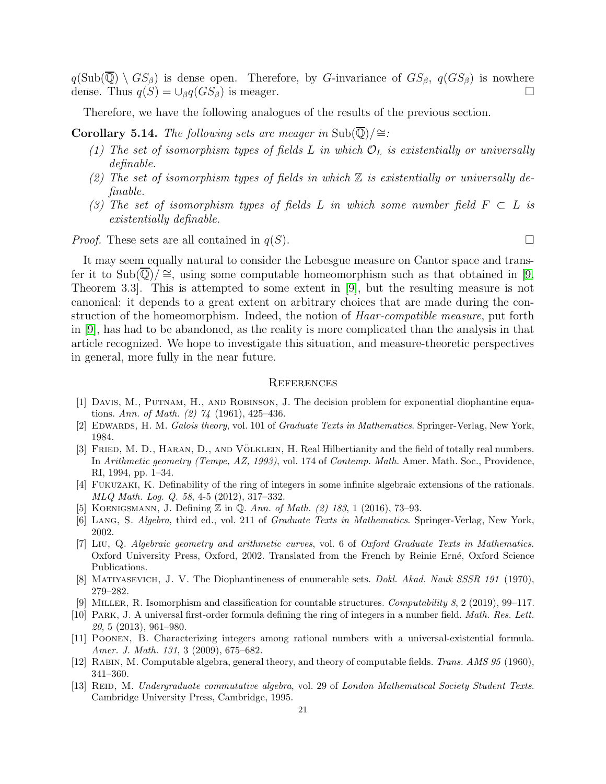$q(\text{Sub}(\overline{\mathbb{Q}}) \setminus GS_\beta)$  is dense open. Therefore, by G-invariance of  $GS_\beta$ ,  $q(GS_\beta)$  is nowhere dense. Thus  $q(S) = \bigcup_{\beta} q(GS_{\beta})$  is meager.

Therefore, we have the following analogues of the results of the previous section.

Corollary 5.14. The following sets are meager in Sub $(\overline{\mathbb{Q}})/\cong$ :

- (1) The set of isomorphism types of fields L in which  $\mathcal{O}_L$  is existentially or universally definable.
- (2) The set of isomorphism types of fields in which  $\mathbb Z$  is existentially or universally definable.
- (3) The set of isomorphism types of fields L in which some number field  $F \subset L$  is existentially definable.

*Proof.* These sets are all contained in  $q(S)$ .

It may seem equally natural to consider the Lebesgue measure on Cantor space and transfer it to Sub( $\mathbb{Q}/\cong$ , using some computable homeomorphism such as that obtained in [\[9,](#page-20-10) Theorem 3.3]. This is attempted to some extent in [\[9\]](#page-20-10), but the resulting measure is not canonical: it depends to a great extent on arbitrary choices that are made during the construction of the homeomorphism. Indeed, the notion of *Haar-compatible measure*, put forth in [\[9\]](#page-20-10), has had to be abandoned, as the reality is more complicated than the analysis in that article recognized. We hope to investigate this situation, and measure-theoretic perspectives in general, more fully in the near future.

### **REFERENCES**

- <span id="page-20-1"></span>[1] DAVIS, M., PUTNAM, H., AND ROBINSON, J. The decision problem for exponential diophantine equations. Ann. of Math. (2) 74 (1961), 425–436.
- <span id="page-20-11"></span><span id="page-20-2"></span>[2] EDWARDS, H. M. Galois theory, vol. 101 of Graduate Texts in Mathematics. Springer-Verlag, New York, 1984.
- [3] FRIED, M. D., HARAN, D., AND VÖLKLEIN, H. Real Hilbertianity and the field of totally real numbers. In Arithmetic geometry (Tempe, AZ, 1993), vol. 174 of Contemp. Math. Amer. Math. Soc., Providence, RI, 1994, pp. 1–34.
- <span id="page-20-6"></span>[4] Fukuzaki, K. Definability of the ring of integers in some infinite algebraic extensions of the rationals. MLQ Math. Log. Q. 58, 4-5 (2012), 317–332.
- <span id="page-20-7"></span><span id="page-20-4"></span>[5] KOENIGSMANN, J. Defining Z in Q. Ann. of Math. (2) 183, 1 (2016), 73–93.
- <span id="page-20-8"></span>[6] LANG, S. Algebra, third ed., vol. 211 of Graduate Texts in Mathematics. Springer-Verlag, New York, 2002.
- [7] Liu, Q. Algebraic geometry and arithmetic curves, vol. 6 of Oxford Graduate Texts in Mathematics. Oxford University Press, Oxford, 2002. Translated from the French by Reinie Erné, Oxford Science Publications.
- <span id="page-20-10"></span><span id="page-20-0"></span>[8] Matiyasevich, J. V. The Diophantineness of enumerable sets. Dokl. Akad. Nauk SSSR 191 (1970), 279–282.
- <span id="page-20-5"></span>[9] Miller, R. Isomorphism and classification for countable structures. Computability 8, 2 (2019), 99–117.
- [10] Park, J. A universal first-order formula defining the ring of integers in a number field. Math. Res. Lett. 20, 5 (2013), 961–980.
- <span id="page-20-3"></span>[11] Poonen, B. Characterizing integers among rational numbers with a universal-existential formula. Amer. J. Math. 131, 3 (2009), 675–682.
- <span id="page-20-12"></span><span id="page-20-9"></span>[12] RABIN, M. Computable algebra, general theory, and theory of computable fields. Trans. AMS 95 (1960), 341–360.
- [13] REID, M. Undergraduate commutative algebra, vol. 29 of London Mathematical Society Student Texts. Cambridge University Press, Cambridge, 1995.